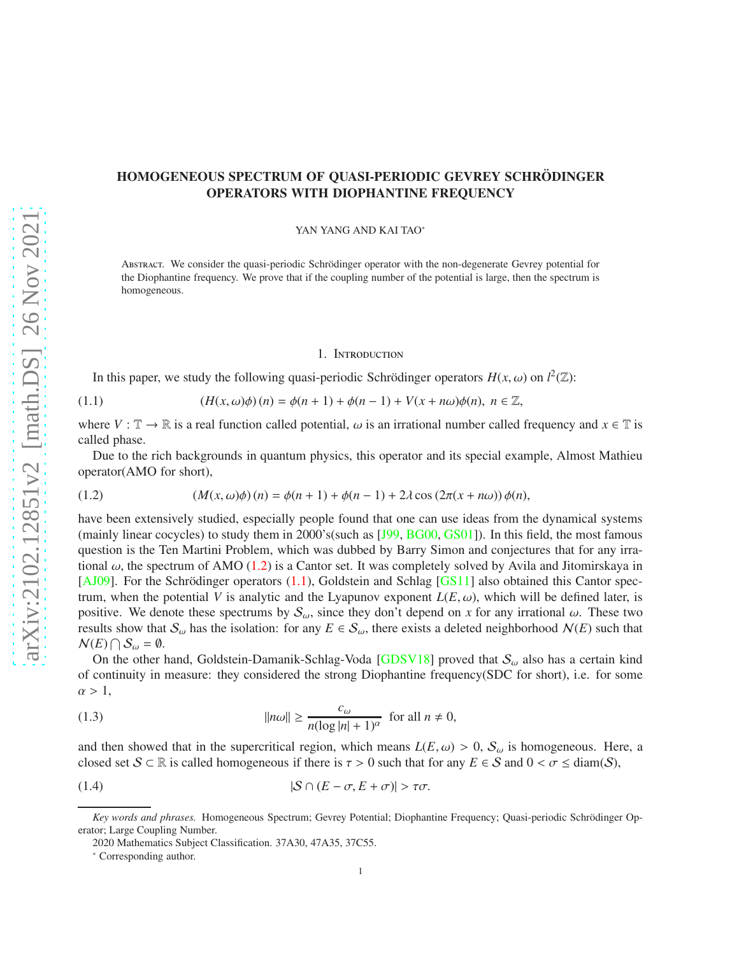# HOMOGENEOUS SPECTRUM OF QUASI-PERIODIC GEVREY SCHRÖDINGER OPERATORS WITH DIOPHANTINE FREQUENCY

YAN YANG AND KAI TAO<sup>∗</sup>

ABSTRACT. We consider the quasi-periodic Schrödinger operator with the non-degenerate Gevrey potential for the Diophantine frequency. We prove that if the coupling number of the potential is large, then the spectrum is homogeneous.

#### 1. INTRODUCTION

<span id="page-0-1"></span>In this paper, we study the following quasi-periodic Schrödinger operators  $H(x, \omega)$  on  $l^2(\mathbb{Z})$ :

(1.1) 
$$
(H(x, \omega)\phi)(n) = \phi(n+1) + \phi(n-1) + V(x+n\omega)\phi(n), \ n \in \mathbb{Z},
$$

where  $V : \mathbb{T} \to \mathbb{R}$  is a real function called potential,  $\omega$  is an irrational number called frequency and  $x \in \mathbb{T}$  is called phase.

Due to the rich backgrounds in quantum physics, this operator and its special example, Almost Mathieu operator(AMO for short),

<span id="page-0-0"></span>(1.2) 
$$
(M(x, \omega)\phi)(n) = \phi(n+1) + \phi(n-1) + 2\lambda \cos(2\pi(x+n\omega))\phi(n),
$$

have been extensively studied, especially people found that one can use ideas from the dynamical systems (mainly linear cocycles) to study them in 2000's(such as [\[J99,](#page-24-0) [BG00,](#page-23-0) [GS01\]](#page-24-1)). In this field, the most famous question is the Ten Martini Problem, which was dubbed by Barry Simon and conjectures that for any irrational  $\omega$ , the spectrum of AMO [\(1.2\)](#page-0-0) is a Cantor set. It was completely solved by Avila and Jitomirskaya in  $[AJO9]$ . For the Schrödinger operators  $(1.1)$ , Goldstein and Schlag [\[GS11\]](#page-24-2) also obtained this Cantor spectrum, when the potential *V* is analytic and the Lyapunov exponent  $L(E, \omega)$ , which will be defined later, is positive. We denote these spectrums by  $S_{\omega}$ , since they don't depend on *x* for any irrational  $\omega$ . These two results show that  $S_\omega$  has the isolation: for any  $E \in S_\omega$ , there exists a deleted neighborhood  $N(E)$  such that  $\mathcal{N}(E) \bigcap \mathcal{S}_{\omega} = \emptyset.$ 

On the other hand, Goldstein-Damanik-Schlag-Voda [\[GDSV18\]](#page-24-3) proved that  $S_{\omega}$  also has a certain kind of continuity in measure: they considered the strong Diophantine frequency(SDC for short), i.e. for some  $\alpha > 1$ ,

<span id="page-0-2"></span>(1.3) 
$$
||n\omega|| \ge \frac{c_{\omega}}{n(\log |n| + 1)^{\alpha}} \text{ for all } n \ne 0,
$$

and then showed that in the supercritical region, which means  $L(E, \omega) > 0$ ,  $S_{\omega}$  is homogeneous. Here, a closed set  $S \subset \mathbb{R}$  is called homogeneous if there is  $\tau > 0$  such that for any  $E \in S$  and  $0 < \sigma \leq \text{diam}(S)$ ,

(1.4) 
$$
|\mathcal{S} \cap (E - \sigma, E + \sigma)| > \tau \sigma.
$$

*Key words and phrases.* Homogeneous Spectrum; Gevrey Potential; Diophantine Frequency; Quasi-periodic Schrödinger Operator; Large Coupling Number.

<sup>2020</sup> Mathematics Subject Classification. 37A30, 47A35, 37C55.

<sup>∗</sup> Corresponding author.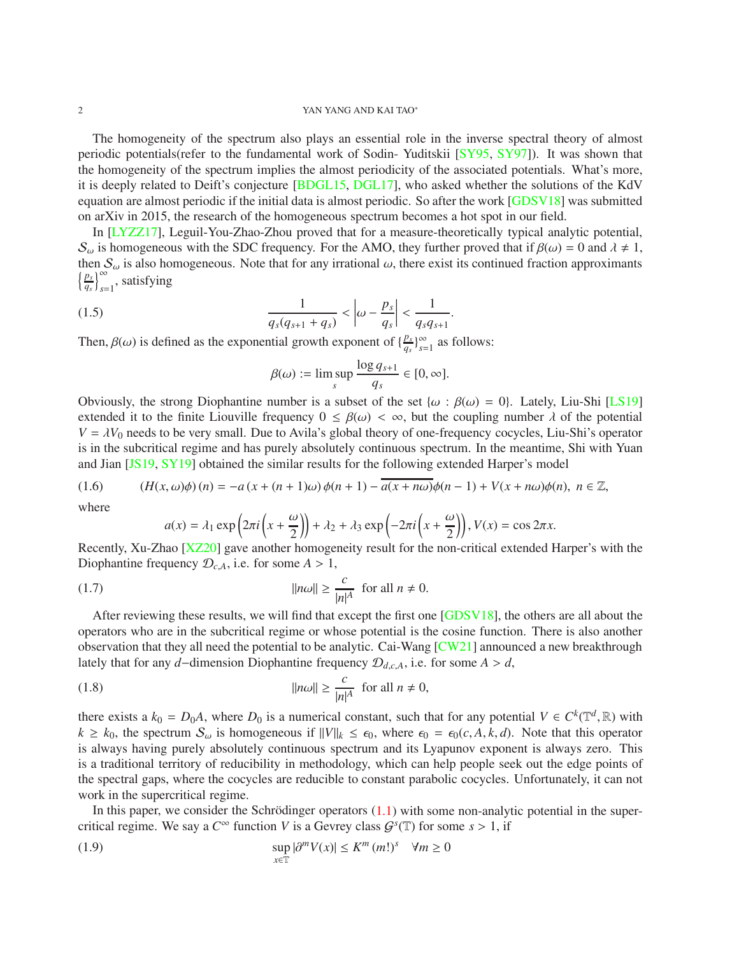#### 2 YAN YANG AND KAI TAO∗

The homogeneity of the spectrum also plays an essential role in the inverse spectral theory of almost periodic potentials(refer to the fundamental work of Sodin- Yuditskii [\[SY95,](#page-24-4) [SY97\]](#page-24-5)). It was shown that the homogeneity of the spectrum implies the almost periodicity of the associated potentials. What's more, it is deeply related to Deift's conjecture [\[BDGL15,](#page-23-2) [DGL17\]](#page-24-6), who asked whether the solutions of the KdV equation are almost periodic if the initial data is almost periodic. So after the work [\[GDSV18\]](#page-24-3) was submitted on arXiv in 2015, the research of the homogeneous spectrum becomes a hot spot in our field.

In [\[LYZZ17\]](#page-24-7), Leguil-You-Zhao-Zhou proved that for a measure-theoretically typical analytic potential,  $S_{\omega}$  is homogeneous with the SDC frequency. For the AMO, they further proved that if  $\beta(\omega) = 0$  and  $\lambda \neq 1$ , then  $S_\omega$  is also homogeneous. Note that for any irrational  $\omega$ , there exist its continued fraction approximants n *ps*  $\left(\frac{p_s}{q_s}\right)_{s=1}^{\infty}$ , satisfying

(1.5) 
$$
\frac{1}{q_s(q_{s+1}+q_s)} < \left|\omega - \frac{p_s}{q_s}\right| < \frac{1}{q_s q_{s+1}}.
$$

Then,  $\beta(\omega)$  is defined as the exponential growth exponent of  $\{\frac{p_s}{q_s}\}$  $\frac{p_s}{q_s}$ <sup>2</sup> $_{s=1}$ </sub> as follows:

$$
\beta(\omega) := \limsup_{s} \frac{\log q_{s+1}}{q_s} \in [0, \infty].
$$

Obviously, the strong Diophantine number is a subset of the set { $\omega$  :  $\beta(\omega) = 0$ }. Lately, Liu-Shi [\[LS19\]](#page-24-8) extended it to the finite Liouville frequency  $0 \leq \beta(\omega) < \infty$ , but the coupling number  $\lambda$  of the potential  $V = \lambda V_0$  needs to be very small. Due to Avila's global theory of one-frequency cocycles, Liu-Shi's operator is in the subcritical regime and has purely absolutely continuous spectrum. In the meantime, Shi with Yuan and Jian [\[JS19,](#page-24-9) [SY19\]](#page-24-10) obtained the similar results for the following extended Harper's model

$$
(1.6) \qquad (H(x,\omega)\phi)(n) = -a\left(x + (n+1)\omega\right)\phi(n+1) - a(x + n\omega)\phi(n-1) + V(x + n\omega)\phi(n), \quad n \in \mathbb{Z},
$$

where

<span id="page-1-1"></span><span id="page-1-0"></span>
$$
a(x) = \lambda_1 \exp\left(2\pi i \left(x + \frac{\omega}{2}\right)\right) + \lambda_2 + \lambda_3 \exp\left(-2\pi i \left(x + \frac{\omega}{2}\right)\right), V(x) = \cos 2\pi x.
$$

Recently, Xu-Zhao [\[XZ20\]](#page-24-11) gave another homogeneity result for the non-critical extended Harper's with the Diophantine frequency  $\mathcal{D}_{c,A}$ , i.e. for some  $A > 1$ ,

(1.7) 
$$
||n\omega|| \ge \frac{c}{|n|^A} \text{ for all } n \ne 0.
$$

After reviewing these results, we will find that except the first one [\[GDSV18\]](#page-24-3), the others are all about the operators who are in the subcritical regime or whose potential is the cosine function. There is also another observation that they all need the potential to be analytic. Cai-Wang  $\lfloor$ CW21] announced a new breakthrough lately that for any *d*−dimension Diophantine frequency D*d*,*c*,*A*, i.e. for some *A* > *d*,

(1.8) 
$$
||n\omega|| \ge \frac{c}{|n|^A} \text{ for all } n \ne 0,
$$

there exists a  $k_0 = D_0 A$ , where  $D_0$  is a numerical constant, such that for any potential  $V \in C^k(\mathbb{T}^d, \mathbb{R})$  with  $k \geq k_0$ , the spectrum  $\mathcal{S}_{\omega}$  is homogeneous if  $||V||_k \leq \epsilon_0$ , where  $\epsilon_0 = \epsilon_0(c, A, k, d)$ . Note that this operator is always having purely absolutely continuous spectrum and its Lyapunov exponent is always zero. This is a traditional territory of reducibility in methodology, which can help people seek out the edge points of the spectral gaps, where the cocycles are reducible to constant parabolic cocycles. Unfortunately, it can not work in the supercritical regime.

In this paper, we consider the Schrödinger operators  $(1.1)$  with some non-analytic potential in the supercritical regime. We say a  $C^{\infty}$  function *V* is a Gevrey class  $G^{s}(\mathbb{T})$  for some  $s > 1$ , if

<span id="page-1-2"></span>(1.9) 
$$
\sup_{x \in \mathbb{T}} |\partial^m V(x)| \le K^m (m!)^s \quad \forall m \ge 0
$$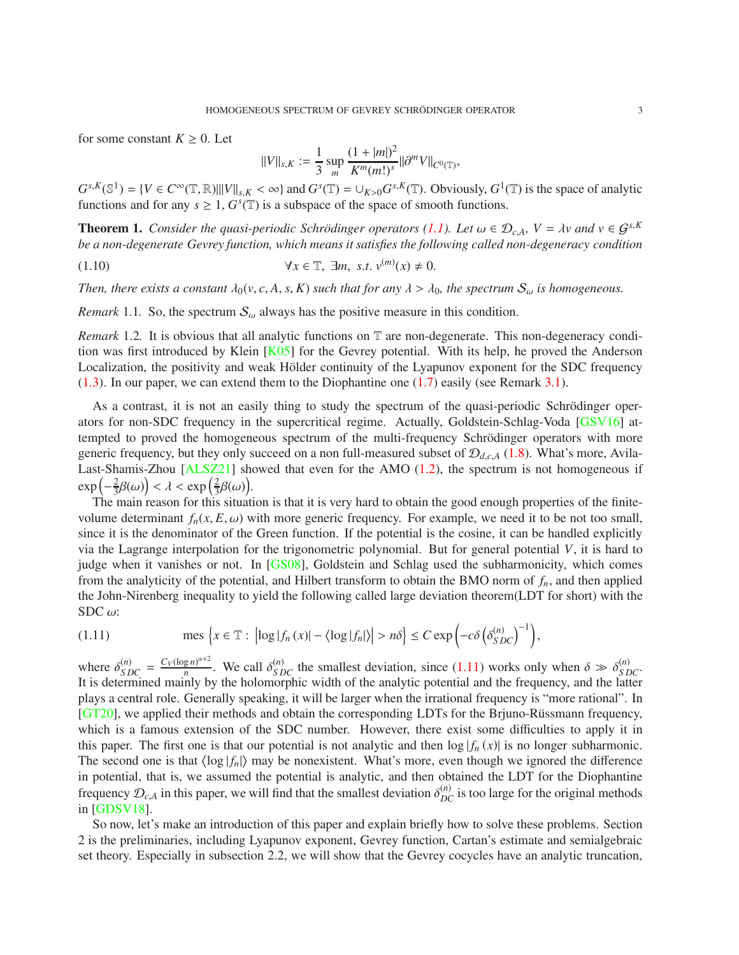for some constant  $K \geq 0$ . Let

<span id="page-2-1"></span>
$$
||V||_{s,K} := \frac{1}{3} \sup_m \frac{(1+|m|)^2}{K^m(m!)^s} ||\partial^m V||_{C^0(\mathbb{T})},
$$

 $G^{s,K}(\mathbb{S}^1) = \{ V \in C^\infty(\mathbb{T}, \mathbb{R}) \mid ||V||_{s,K} < \infty \}$  and  $G^s(\mathbb{T}) = \bigcup_{K>0} G^{s,K}(\mathbb{T})$ . Obviously,  $G^1(\mathbb{T})$  is the space of analytic functions and for any  $s \geq 1$ ,  $G<sup>s</sup>(\mathbb{T})$  is a subspace of the space of smooth functions.

<span id="page-2-2"></span>**Theorem 1.** *Consider the quasi-periodic Schrödinger operators* [\(1.1\)](#page-0-1). Let  $\omega \in \mathcal{D}_{c,A}$ ,  $V = \lambda v$  and  $v \in \mathcal{G}^{s,K}$ *be a non-degenerate Gevrey function, which means it satisfies the following called non-degeneracy condition*

(1.10) ∀*x* ∈ T, ∃*m*, *s*.*t*. *v* (*m*) (*x*) , 0.

*Then, there exists a constant*  $\lambda_0(v, c, A, s, K)$  *such that for any*  $\lambda > \lambda_0$ *, the spectrum*  $S_\omega$  *is homogeneous.* 

*Remark* 1.1. So, the spectrum  $\mathcal{S}_{\omega}$  always has the positive measure in this condition.

*Remark* 1.2. It is obvious that all analytic functions on  $\mathbb T$  are non-degenerate. This non-degeneracy condi-tion was first introduced by Klein [\[K05\]](#page-24-13) for the Gevrey potential. With its help, he proved the Anderson Localization, the positivity and weak Hölder continuity of the Lyapunov exponent for the SDC frequency [\(1.3\)](#page-0-2). In our paper, we can extend them to the Diophantine one [\(1.7\)](#page-1-0) easily (see Remark [3.1\)](#page-8-0).

As a contrast, it is not an easily thing to study the spectrum of the quasi-periodic Schrödinger operators for non-SDC frequency in the supercritical regime. Actually, Goldstein-Schlag-Voda [\[GSV16\]](#page-24-14) attempted to proved the homogeneous spectrum of the multi-frequency Schrödinger operators with more generic frequency, but they only succeed on a non full-measured subset of D*d*,*c*,*<sup>A</sup>* [\(1.8\)](#page-1-1). What's more, Avila-Last-Shamis-Zhou [\[ALSZ21\]](#page-23-3) showed that even for the AMO [\(1.2\)](#page-0-0), the spectrum is not homogeneous if  $\exp\left(-\frac{2}{3}\right)$  $\left(\frac{2}{3}\beta(\omega)\right) < \lambda < \exp\left(\frac{2}{3}\right)$  $\frac{2}{3}\beta(\omega)$ ).

The main reason for this situation is that it is very hard to obtain the good enough properties of the finitevolume determinant  $f_n(x, E, \omega)$  with more generic frequency. For example, we need it to be not too small, since it is the denominator of the Green function. If the potential is the cosine, it can be handled explicitly via the Lagrange interpolation for the trigonometric polynomial. But for general potential *V*, it is hard to judge when it vanishes or not. In [\[GS08\]](#page-24-15), Goldstein and Schlag used the subharmonicity, which comes from the analyticity of the potential, and Hilbert transform to obtain the BMO norm of *fn*, and then applied the John-Nirenberg inequality to yield the following called large deviation theorem(LDT for short) with the SDC  $\omega$ :

<span id="page-2-0"></span>(1.11) 
$$
\text{mes } \left\{ x \in \mathbb{T} : \left| \log |f_n(x)| - \langle \log |f_n| \rangle \right| > n\delta \right\} \leq C \exp \left( -c \delta \left( \delta_{SDC}^{(n)} \right)^{-1} \right),
$$

where  $\delta_{SDC}^{(n)} = \frac{C_V(\log n)^{\alpha+2}}{n}$  $\frac{g n^{n+2}}{n}$ . We call  $\delta_{SDC}^{(n)}$  the smallest deviation, since [\(1.11\)](#page-2-0) works only when  $\delta \gg \delta_{SDC}^{(n)}$ . It is determined mainly by the holomorphic width of the analytic potential and the frequency, and the latter plays a central role. Generally speaking, it will be larger when the irrational frequency is "more rational". In [\[GT20\]](#page-24-16), we applied their methods and obtain the corresponding LDTs for the Brjuno-Rüssmann frequency, which is a famous extension of the SDC number. However, there exist some difficulties to apply it in this paper. The first one is that our potential is not analytic and then  $\log|f_n(x)|$  is no longer subharmonic. The second one is that  $\langle \log |f_n| \rangle$  may be nonexistent. What's more, even though we ignored the difference in potential, that is, we assumed the potential is analytic, and then obtained the LDT for the Diophantine frequency  $\mathcal{D}_{c,A}$  in this paper, we will find that the smallest deviation  $\delta_{DC}^{(n)}$  is too large for the original methods in [\[GDSV18\]](#page-24-3).

So now, let's make an introduction of this paper and explain briefly how to solve these problems. Section 2 is the preliminaries, including Lyapunov exponent, Gevrey function, Cartan's estimate and semialgebraic set theory. Especially in subsection 2.2, we will show that the Gevrey cocycles have an analytic truncation,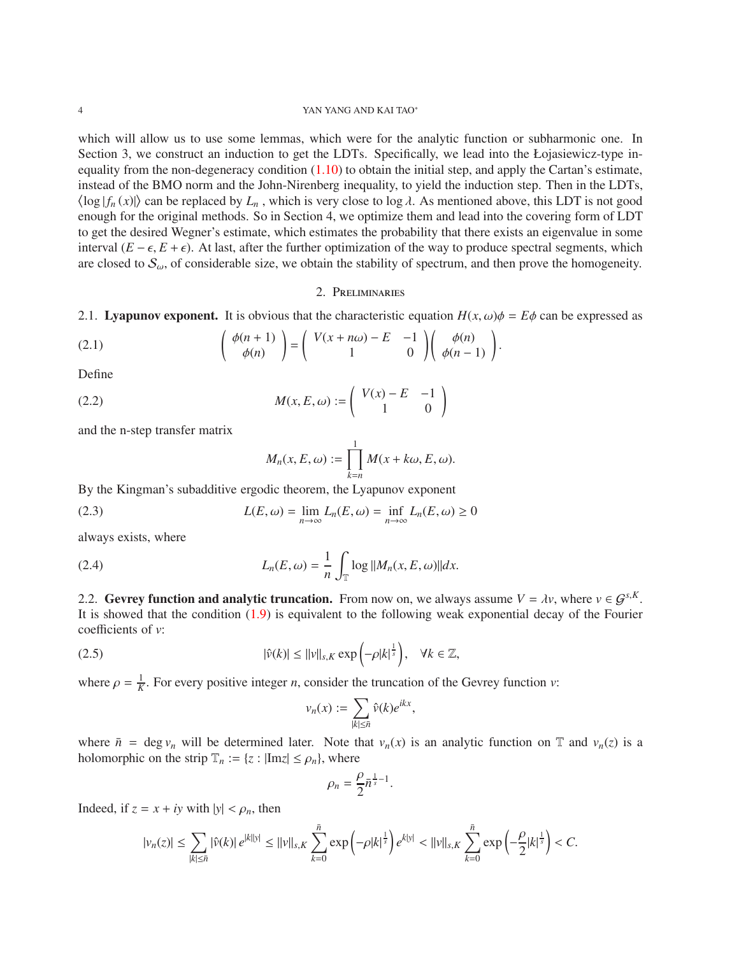#### 4 YAN YANG AND KAI TAO∗

which will allow us to use some lemmas, which were for the analytic function or subharmonic one. In Section 3, we construct an induction to get the LDTs. Specifically, we lead into the Łojasiewicz-type inequality from the non-degeneracy condition  $(1.10)$  to obtain the initial step, and apply the Cartan's estimate, instead of the BMO norm and the John-Nirenberg inequality, to yield the induction step. Then in the LDTs,  $\langle \log | f_n(x) | \rangle$  can be replaced by  $L_n$ , which is very close to log  $\lambda$ . As mentioned above, this LDT is not good enough for the original methods. So in Section 4, we optimize them and lead into the covering form of LDT to get the desired Wegner's estimate, which estimates the probability that there exists an eigenvalue in some interval  $(E - \epsilon, E + \epsilon)$ . At last, after the further optimization of the way to produce spectral segments, which are closed to  $S_{\omega}$ , of considerable size, we obtain the stability of spectrum, and then prove the homogeneity.

### 2. Preliminaries

2.1. Lyapunov exponent. It is obvious that the characteristic equation  $H(x, \omega)\phi = E\phi$  can be expressed as

(2.1) 
$$
\begin{pmatrix} \phi(n+1) \\ \phi(n) \end{pmatrix} = \begin{pmatrix} V(x+n\omega) - E & -1 \\ 1 & 0 \end{pmatrix} \begin{pmatrix} \phi(n) \\ \phi(n-1) \end{pmatrix}.
$$

Define

$$
(2.2) \qquad \qquad M(x, E, \omega) := \begin{pmatrix} V(x) - E & -1 \\ 1 & 0 \end{pmatrix}
$$

and the n-step transfer matrix

$$
M_n(x, E, \omega) := \prod_{k=n}^1 M(x + k\omega, E, \omega).
$$

By the Kingman's subadditive ergodic theorem, the Lyapunov exponent

(2.3) 
$$
L(E, \omega) = \lim_{n \to \infty} L_n(E, \omega) = \inf_{n \to \infty} L_n(E, \omega) \ge 0
$$

always exists, where

(2.4) 
$$
L_n(E, \omega) = \frac{1}{n} \int_{\mathbb{T}} \log ||M_n(x, E, \omega)|| dx.
$$

2.2. Gevrey function and analytic truncation. From now on, we always assume  $V = \lambda v$ , where  $v \in G^{s,K}$ . It is showed that the condition [\(1.9\)](#page-1-2) is equivalent to the following weak exponential decay of the Fourier coefficients of *v*:

(2.5) 
$$
|\hat{v}(k)| \le ||v||_{s,K} \exp\left(-\rho |k|^{\frac{1}{s}}\right), \quad \forall k \in \mathbb{Z},
$$

where  $\rho = \frac{1}{K}$ . For every positive integer *n*, consider the truncation of the Gevrey function *v*:

$$
v_n(x) := \sum_{|k| \leq \bar{n}} \hat{v}(k) e^{ikx}
$$

,

where  $\bar{n}$  = deg  $v_n$  will be determined later. Note that  $v_n(x)$  is an analytic function on T and  $v_n(z)$  is a holomorphic on the strip  $\mathbb{T}_n := \{z : |\text{Im} z| \le \rho_n\}$ , where

$$
\rho_n=\frac{\rho}{2}\bar{n}^{\frac{1}{s}-1}.
$$

Indeed, if  $z = x + iy$  with  $|y| < \rho_n$ , then

$$
|v_n(z)| \leq \sum_{|k| \leq \bar{n}} |\hat{v}(k)| e^{|k||y|} \leq ||v||_{s,K} \sum_{k=0}^{\bar{n}} \exp\left(-\rho |k|^{\frac{1}{s}}\right) e^{|k|y|} < ||v||_{s,K} \sum_{k=0}^{\bar{n}} \exp\left(-\frac{\rho}{2}|k|^{\frac{1}{s}}\right) < C.
$$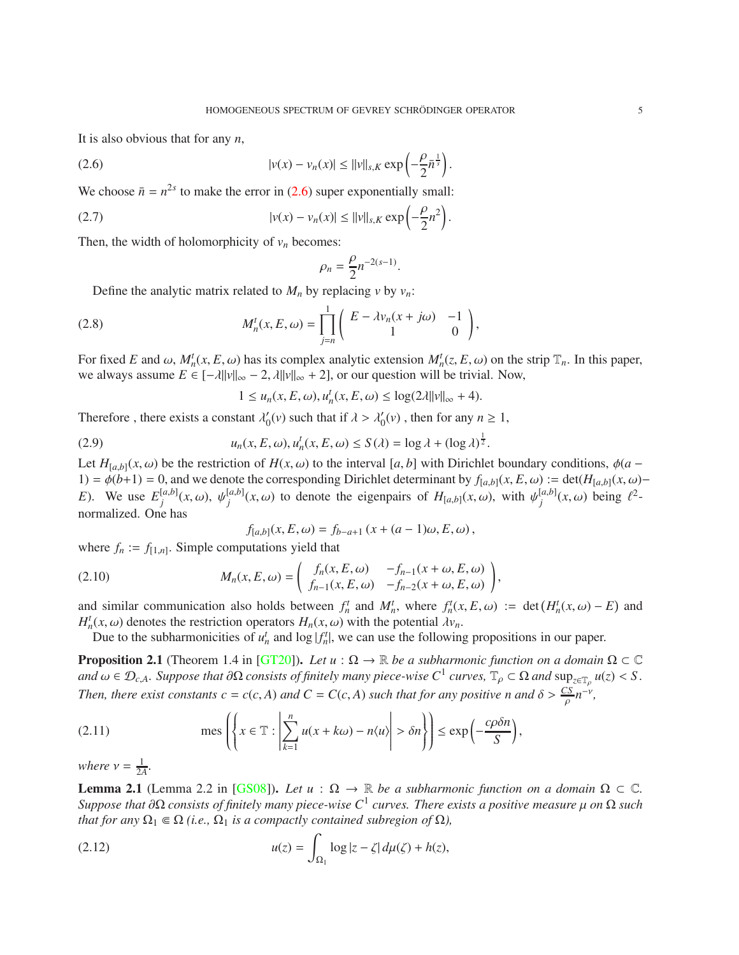.

It is also obvious that for any *n*,

(2.6) 
$$
|v(x) - v_n(x)| \le ||v||_{s,K} \exp\left(-\frac{\rho}{2}\bar{n}^{\frac{1}{s}}\right)
$$

We choose  $\bar{n} = n^{2s}$  to make the error in [\(2.6\)](#page-4-0) super exponentially small:

(2.7) 
$$
|v(x) - v_n(x)| \le ||v||_{s,K} \exp\left(-\frac{\rho}{2}n^2\right).
$$

Then, the width of holomorphicity of  $v_n$  becomes:

<span id="page-4-2"></span><span id="page-4-0"></span>
$$
\rho_n = \frac{\rho}{2} n^{-2(s-1)}.
$$

Define the analytic matrix related to  $M_n$  by replacing  $v$  by  $v_n$ :

(2.8) 
$$
M_n^t(x, E, \omega) = \prod_{j=n}^1 \begin{pmatrix} E - \lambda v_n(x + j\omega) & -1 \\ 1 & 0 \end{pmatrix},
$$

For fixed *E* and  $\omega$ ,  $M_n^t(x, E, \omega)$  has its complex analytic extension  $M_n^t(z, E, \omega)$  on the strip  $\mathbb{T}_n$ . In this paper, we always assume  $E \in [-\lambda ||v||_{\infty} - 2$ ,  $\lambda ||v||_{\infty} + 2]$ , or our question will be trivial. Now,

<span id="page-4-3"></span>
$$
1 \le u_n(x, E, \omega), u_n^t(x, E, \omega) \le \log(2\lambda ||v||_{\infty} + 4).
$$

Therefore, there exists a constant  $\lambda'_0(v)$  such that if  $\lambda > \lambda'_0(v)$ , then for any  $n \ge 1$ ,

(2.9) 
$$
u_n(x, E, \omega), u'_n(x, E, \omega) \le S(\lambda) = \log \lambda + (\log \lambda)^{\frac{1}{2}}.
$$

Let  $H_{[a,b]}(x,\omega)$  be the restriction of  $H(x,\omega)$  to the interval [*a*, *b*] with Dirichlet boundary conditions,  $\phi(a -$ 1) =  $\phi$ (*b*+1) = 0, and we denote the corresponding Dirichlet determinant by *f*<sub>[*a*,*b*](*x*, *E*, ω) := det(*H*<sub>[*a*,*b*](*x*, ω)−</sub></sub> *E*). We use  $E_i^{[a,b]}$  $j^{[a,b]}(x,\omega), \psi_j^{[a,b]}$  $\psi_j^{[a,b]}(x,\omega)$  to denote the eigenpairs of  $H_{[a,b]}(x,\omega)$ , with  $\psi_j^{[a,b]}$  $j^{[a,b]}(x,\omega)$  being  $\ell^2$ normalized. One has

<span id="page-4-5"></span>
$$
f_{[a,b]}(x, E, \omega) = f_{b-a+1}(x + (a-1)\omega, E, \omega),
$$

where  $f_n := f_{[1,n]}$ . Simple computations yield that

(2.10) 
$$
M_n(x, E, \omega) = \begin{pmatrix} f_n(x, E, \omega) & -f_{n-1}(x + \omega, E, \omega) \\ f_{n-1}(x, E, \omega) & -f_{n-2}(x + \omega, E, \omega) \end{pmatrix},
$$

and similar communication also holds between  $f_n^t$  and  $M_n^t$ , where  $f_n^t(x, E, \omega) := \det(H_n^t(x, \omega) - E)$  and *H*<sup>*t*</sup><sub>*n*</sub>(*x*,  $\omega$ ) denotes the restriction operators *H<sub>n</sub>*(*x*,  $\omega$ ) with the potential  $\lambda v_n$ .

Due to the subharmonicities of  $u_n^t$  and  $\log |f_n^t|$ , we can use the following propositions in our paper.

<span id="page-4-4"></span>**Proposition 2.1** (Theorem 1.4 in [\[GT20\]](#page-24-16)). Let  $u : \Omega \to \mathbb{R}$  be a subharmonic function on a domain  $\Omega \subset \mathbb{C}$  $\alpha$  *and*  $\omega \in \mathcal{D}_{c,A}$ . Suppose that  $\partial\Omega$  consists of finitely many piece-wise  $C^1$  curves,  $\mathbb{T}_\rho \subset \Omega$  and  $\sup_{z \in \mathbb{T}_\rho} u(z) < S$ . *Then, there exist constants c* = *c*(*c*, *A*) *and C* = *C*(*c*, *A*) *such that for any positive n and*  $\delta > \frac{CS}{\rho}n^{-\gamma}$ ,

(2.11) 
$$
\text{mes}\left(\left\{x \in \mathbb{T}: \left|\sum_{k=1}^{n} u(x + k\omega) - n\langle u \rangle \right| > \delta n\right\}\right) \le \exp\left(-\frac{c\rho\delta n}{S}\right),
$$

*where*  $v = \frac{1}{24}$  $\frac{1}{2A}$ 

<span id="page-4-1"></span>**Lemma 2.1** (Lemma 2.2 in [\[GS08\]](#page-24-15)). Let  $u : \Omega \to \mathbb{R}$  be a subharmonic function on a domain  $\Omega \subset \mathbb{C}$ . *Suppose that* ∂Ω *consists of finitely many piece-wise C*<sup>1</sup> *curves. There exists a positive measure* µ *on* Ω *such that for any*  $\Omega_1 \in \Omega$  *(i.e.,*  $\Omega_1$  *is a compactly contained subregion of*  $\Omega$ *),* 

(2.12) 
$$
u(z) = \int_{\Omega_1} \log |z - \zeta| d\mu(\zeta) + h(z),
$$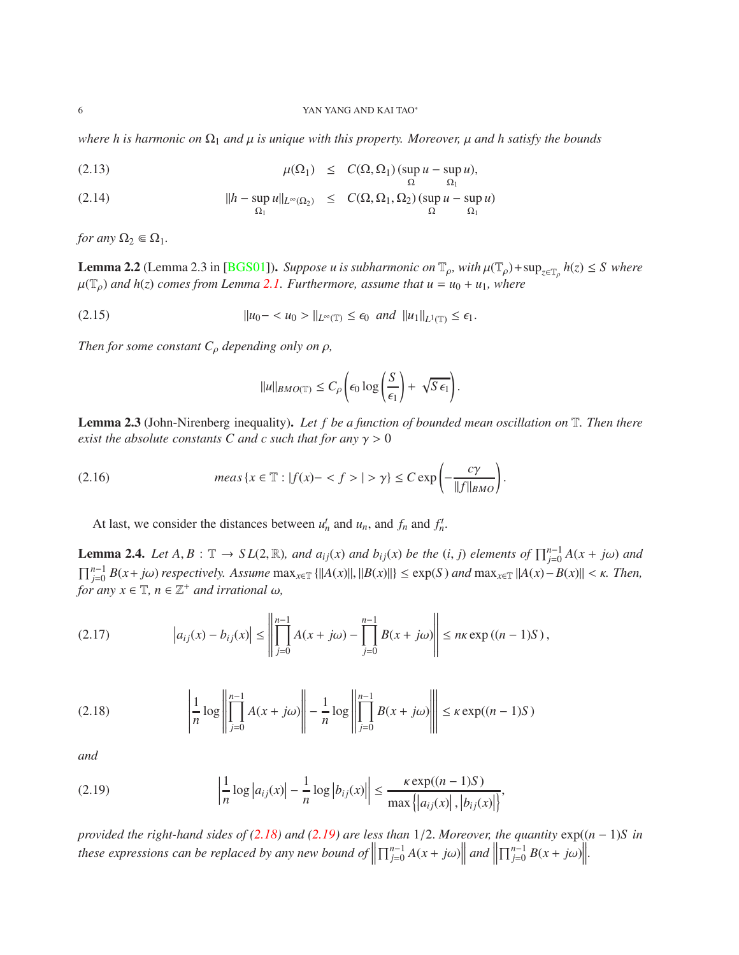*where h is harmonic on*  $\Omega_1$  *and*  $\mu$  *is unique with this property. Moreover,*  $\mu$  *and h satisfy the bounds* 

(2.13) 
$$
\mu(\Omega_1) \leq C(\Omega, \Omega_1) (\sup_{\Omega} u - \sup_{\Omega_1} u),
$$

(2.14) 
$$
||h - \sup_{\Omega_1} u||_{L^{\infty}(\Omega_2)} \leq C(\Omega, \Omega_1, \Omega_2) (\sup_{\Omega} u - \sup_{\Omega_1} u)
$$

*for any*  $\Omega_2 \in \Omega_1$ *.* 

<span id="page-5-3"></span>**Lemma 2.2** (Lemma 2.3 in [\[BGS01\]](#page-23-4)). *Suppose u is subharmonic on*  $\mathbb{T}_{\rho}$ , with  $\mu(\mathbb{T}_{\rho})$ +sup<sub> $z \in \mathbb{T}_{\rho}} h(z) \leq S$  where</sub>  $\mu(\mathbb{T}_\rho)$  *and h*(*z*) *comes from Lemma [2.1.](#page-4-1) Furthermore, assume that*  $u = u_0 + u_1$ *, where* 

(2.15) 
$$
\|u_0 - u_0| > \|u_{\infty} \leq \epsilon_0 \text{ and } \|u_1\|_{L^1(\mathbb{T})} \leq \epsilon_1.
$$

*Then for some constant*  $C_\rho$  *depending only on*  $\rho$ *,* 

$$
\|u\|_{BMO(\mathbb{T})}\leq C_{\rho}\left(\epsilon_0\log\left(\frac{S}{\epsilon_1}\right)+\sqrt{S\,\epsilon_1}\right).
$$

<span id="page-5-4"></span>Lemma 2.3 (John-Nirenberg inequality). *Let f be a function of bounded mean oscillation on* T*. Then there exist the absolute constants C and c such that for any*  $\gamma > 0$ 

(2.16) 
$$
meas \{x \in \mathbb{T} : |f(x) - \langle f \rangle| > \gamma\} \leq C \exp\left(-\frac{c\gamma}{\|f\|_{BMO}}\right).
$$

At last, we consider the distances between  $u_n^t$  and  $u_n$ , and  $f_n^t$  and  $f_n^t$ .

<span id="page-5-2"></span>**Lemma 2.4.** Let  $A, B: \mathbb{T} \to SL(2, \mathbb{R})$ , and  $a_{ij}(x)$  and  $b_{ij}(x)$  be the  $(i, j)$  elements of  $\prod_{j=0}^{n-1} A(x + j\omega)$  and  $\prod_{j=0}^{n-1} B(x+j\omega)$  respectively. Assume  $\max_{x \in \mathbb{T}} {\|A(x)\|, \|B(x)\|} \leq \exp(S)$  and  $\max_{x \in \mathbb{T}} \|A(x)-B(x)\| < \kappa$ . Then,  $for any x \in \mathbb{T}, n \in \mathbb{Z}^+$  *and irrational*  $\omega$ ,

(2.17) 
$$
|a_{ij}(x) - b_{ij}(x)| \le \left\| \prod_{j=0}^{n-1} A(x + j\omega) - \prod_{j=0}^{n-1} B(x + j\omega) \right\| \le n\kappa \exp((n-1)S),
$$

<span id="page-5-0"></span>
$$
(2.18) \qquad \qquad \left|\frac{1}{n}\log\left\|\prod_{j=0}^{n-1}A(x+j\omega)\right\|-\frac{1}{n}\log\left\|\prod_{j=0}^{n-1}B(x+j\omega)\right\|\right| \leq \kappa\exp((n-1)S)
$$

*and*

<span id="page-5-1"></span>
$$
(2.19) \qquad \left|\frac{1}{n}\log|a_{ij}(x)| - \frac{1}{n}\log|b_{ij}(x)|\right| \le \frac{\kappa \exp((n-1)S)}{\max\{|a_{ij}(x)|,|b_{ij}(x)|\}},
$$

*provided the right-hand sides of [\(2.18\)](#page-5-0) and [\(2.19\)](#page-5-1) are less than* 1/2. *Moreover, the quantity* exp((*n* − 1)*S in these expressions can be replaced by any new bound of*  $\left|\prod_{j=0}^{n-1} A(x+j\omega)\right|$ *and*  $\prod_{j=0}^{n-1} B(x + j\omega)$ .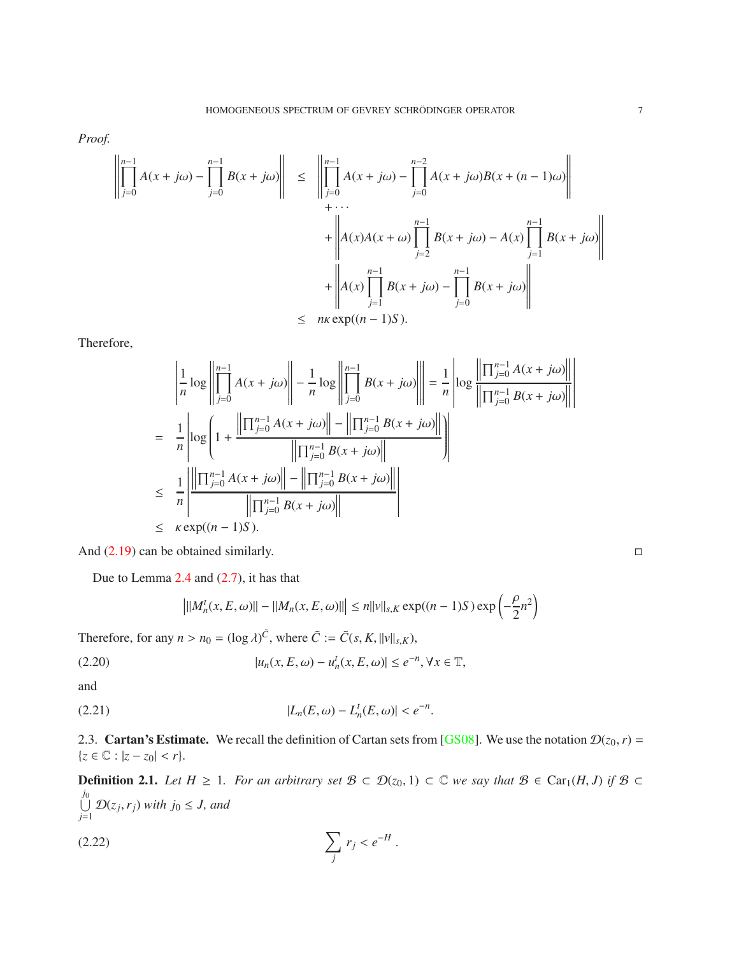*Proof.*

$$
\left\| \prod_{j=0}^{n-1} A(x+j\omega) - \prod_{j=0}^{n-1} B(x+j\omega) \right\| \leq \left\| \prod_{j=0}^{n-1} A(x+j\omega) - \prod_{j=0}^{n-2} A(x+j\omega)B(x+(n-1)\omega) \right\|
$$
  
+ ...  
+ 
$$
\left\| A(x)A(x+\omega) \prod_{j=2}^{n-1} B(x+j\omega) - A(x) \prod_{j=1}^{n-1} B(x+j\omega) \right\|
$$
  
+ 
$$
\left\| A(x) \prod_{j=1}^{n-1} B(x+j\omega) - \prod_{j=0}^{n-1} B(x+j\omega) \right\|
$$
  

$$
\leq n\kappa \exp((n-1)S).
$$

Therefore,

$$
\begin{aligned}\n&\left|\frac{1}{n}\log\left\|\prod_{j=0}^{n-1}A(x+j\omega)\right\| - \frac{1}{n}\log\left\|\prod_{j=0}^{n-1}B(x+j\omega)\right\| = \frac{1}{n}\left|\log\left\|\prod_{j=0}^{n-1}A(x+j\omega)\right\| \right| \\
&= \frac{1}{n}\left|\log\left(1 + \frac{\left\|\prod_{j=0}^{n-1}A(x+j\omega)\right\| - \left\|\prod_{j=0}^{n-1}B(x+j\omega)\right\|}{\left\|\prod_{j=0}^{n-1}B(x+j\omega)\right\|}\right)\right| \\
&\leq \frac{1}{n}\left|\frac{\left\|\prod_{j=0}^{n-1}A(x+j\omega)\right\| - \left\|\prod_{j=0}^{n-1}B(x+j\omega)\right\|}{\left\|\prod_{j=0}^{n-1}B(x+j\omega)\right\|}\right| \\
&\leq \kappa \exp((n-1)S).\n\end{aligned}
$$

And  $(2.19)$  can be obtained similarly.

Due to Lemma [2.4](#page-5-2) and [\(2.7\)](#page-4-2), it has that

<span id="page-6-1"></span><span id="page-6-0"></span>
$$
\left| ||M_n^t(x, E, \omega)|| - ||M_n(x, E, \omega)|| \right| \le n ||v||_{s,K} \exp((n-1)S) \exp\left(-\frac{\rho}{2}n^2\right)
$$

Therefore, for any  $n > n_0 = (\log \lambda)^{\tilde{C}}$ , where  $\tilde{C} := \tilde{C}(s, K, ||v||_{s,K})$ ,

(2.20) 
$$
|u_n(x, E, \omega) - u_n^t(x, E, \omega)| \le e^{-n}, \forall x \in \mathbb{T},
$$

and

(2.21) 
$$
|L_n(E, \omega) - L_n^t(E, \omega)| < e^{-n}.
$$

2.3. **Cartan's Estimate.** We recall the definition of Cartan sets from [\[GS08\]](#page-24-15). We use the notation  $\mathcal{D}(z_0, r)$  =  $\{z \in \mathbb{C} : |z - z_0| < r\}.$ 

**Definition 2.1.** *Let*  $H \ge 1$ *. For an arbitrary set*  $B \subset \mathcal{D}(z_0, 1) \subset \mathbb{C}$  *we say that*  $B \in \text{Car}_1(H, J)$  *if*  $B \subset$  $\bigcup$ *j*0  $\bigcup_{j=1}$   $\mathcal{D}(z_j, r_j)$  *with*  $j_0 \leq J$ , and

$$
\sum_j r_j < e^{-H} \, .
$$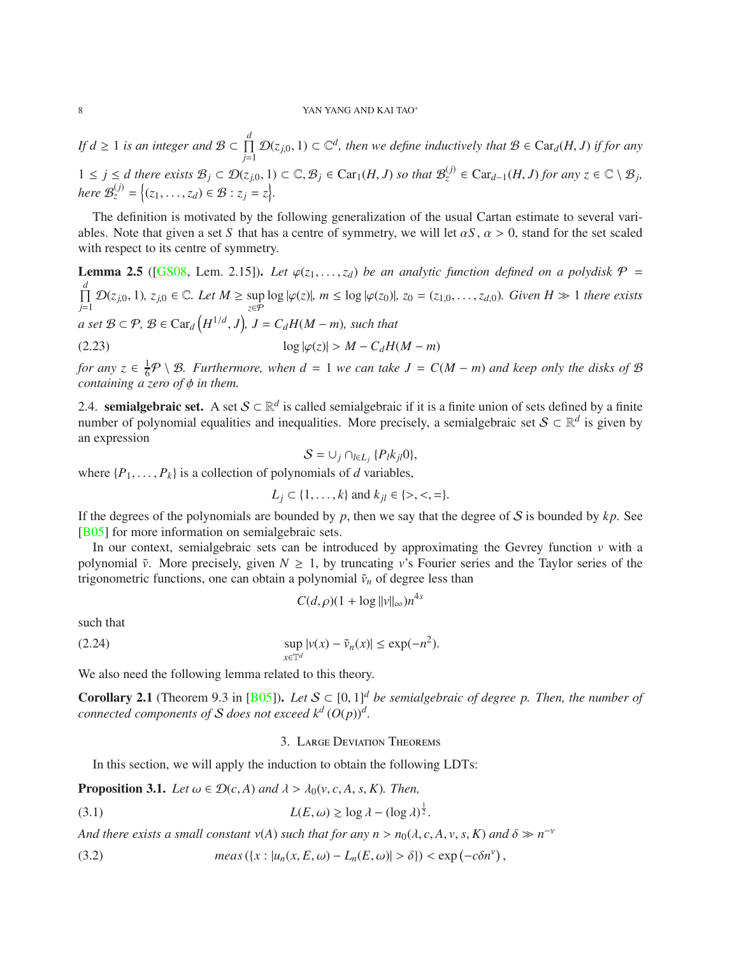*If d*  $\geq 1$  *is an integer and*  $\mathcal{B} \subset \prod_{i=1}^d$ *j* $\prod$  *D*(*z*<sub>*j*,0</sub>, 1) ⊂  $\mathbb{C}^d$ , then we define inductively that  $\mathcal{B} \in \text{Car}_d(H, J)$  if for any  $1 \leq j \leq d$  there exists  $\mathcal{B}_j \subset \mathcal{D}(z_{j,0}, 1) \subset \mathbb{C}, \mathcal{B}_j \in \text{Car}_1(H, J)$  so that  $\mathcal{B}_z^{(j)} \in \text{Car}_{d-1}(H, J)$  for any  $z \in \mathbb{C} \setminus \mathcal{B}_j$ , *here*  $\mathcal{B}_z^{(j)} = \{(z_1, \ldots, z_d) \in \mathcal{B} : z_j = z\}.$ 

The definition is motivated by the following generalization of the usual Cartan estimate to several variables. Note that given a set *S* that has a centre of symmetry, we will let  $\alpha S$ ,  $\alpha > 0$ , stand for the set scaled with respect to its centre of symmetry.

**Lemma 2.5** ([\[GS08,](#page-24-15) Lem. 2.15]). Let  $\varphi(z_1, \ldots, z_d)$  be an analytic function defined on a polydisk  $\varphi$  =  $\prod$ *d*  $\prod_{j=1}^{\infty} \mathcal{D}(z_{j,0}, 1), z_{j,0} \in \mathbb{C}.$  Let  $M \ge \sup_{z \in \mathcal{P}} \log |\varphi(z)|, m \le \log |\varphi(z_0)|, z_0 = (z_{1,0}, \ldots, z_{d,0}).$  Given  $H \gg 1$  there exists  $a$  set  $B \subset \mathcal{P}$ ,  $B \in \text{Car}_{d}\left(H^{1/d}, J\right)$ ,  $J = C_d H(M - m)$ , such that (2.23)  $\log |\varphi(z)| > M - C_d H(M - m)$ 

*for any*  $z \in \frac{1}{6}P \setminus B$ *. Furthermore, when*  $d = 1$  *we can take*  $J = C(M - m)$  *and keep only the disks of*  $B$ *containing a zero of φ in them.* 

<span id="page-7-3"></span>2.4. **semialgebraic set.** A set  $S \subset \mathbb{R}^d$  is called semialgebraic if it is a finite union of sets defined by a finite number of polynomial equalities and inequalities. More precisely, a semialgebraic set  $S \subset \mathbb{R}^d$  is given by an expression

<span id="page-7-5"></span>
$$
S=\cup_j\cap_{l\in L_j}\{P_lk_{jl}0\},\
$$

where  $\{P_1, \ldots, P_k\}$  is a collection of polynomials of *d* variables,

$$
L_j \subset \{1, ..., k\}
$$
 and  $k_{jl} \in \{>, <, =\}.$ 

If the degrees of the polynomials are bounded by  $p$ , then we say that the degree of  $S$  is bounded by  $kp$ . See [\[B05\]](#page-23-5) for more information on semialgebraic sets.

In our context, semialgebraic sets can be introduced by approximating the Gevrey function  $\nu$  with a polynomial  $\tilde{v}$ . More precisely, given  $N \geq 1$ , by truncating *v*'s Fourier series and the Taylor series of the trigonometric functions, one can obtain a polynomial  $\tilde{v}_n$  of degree less than

$$
C(d,\rho)(1+\log ||v||_{\infty})n^{4s}
$$

such that

$$
\sup_{x \in \mathbb{T}^d} |v(x) - \tilde{v}_n(x)| \le \exp(-n^2).
$$

We also need the following lemma related to this theory.

<span id="page-7-4"></span>**Corollary 2.1** (Theorem 9.3 in [\[B05\]](#page-23-5)). Let  $S \subset [0, 1]^d$  be semialgebraic of degree p. Then, the number of *connected components of*  $S$  *does not exceed*  $k^d$   $(O(p))^d$ *.* 

## <span id="page-7-1"></span><span id="page-7-0"></span>3. Large Deviation Theorems

In this section, we will apply the induction to obtain the following LDTs:

<span id="page-7-2"></span>**Proposition 3.1.** Let 
$$
\omega \in \mathcal{D}(c, A)
$$
 and  $\lambda > \lambda_0(v, c, A, s, K)$ . Then,

(3.1) 
$$
L(E, \omega) \gtrsim \log \lambda - (\log \lambda)^{\frac{1}{2}}.
$$

*And there exists a small constant*  $v(A)$  *such that for any*  $n > n_0(\lambda, c, A, v, s, K)$  *and*  $\delta \gg n^{-\nu}$ 

(3.2) 
$$
meas(\lbrace x: |u_n(x,E,\omega)-L_n(E,\omega)|>\delta\rbrace)<\exp(-c\delta n^{\nu}),
$$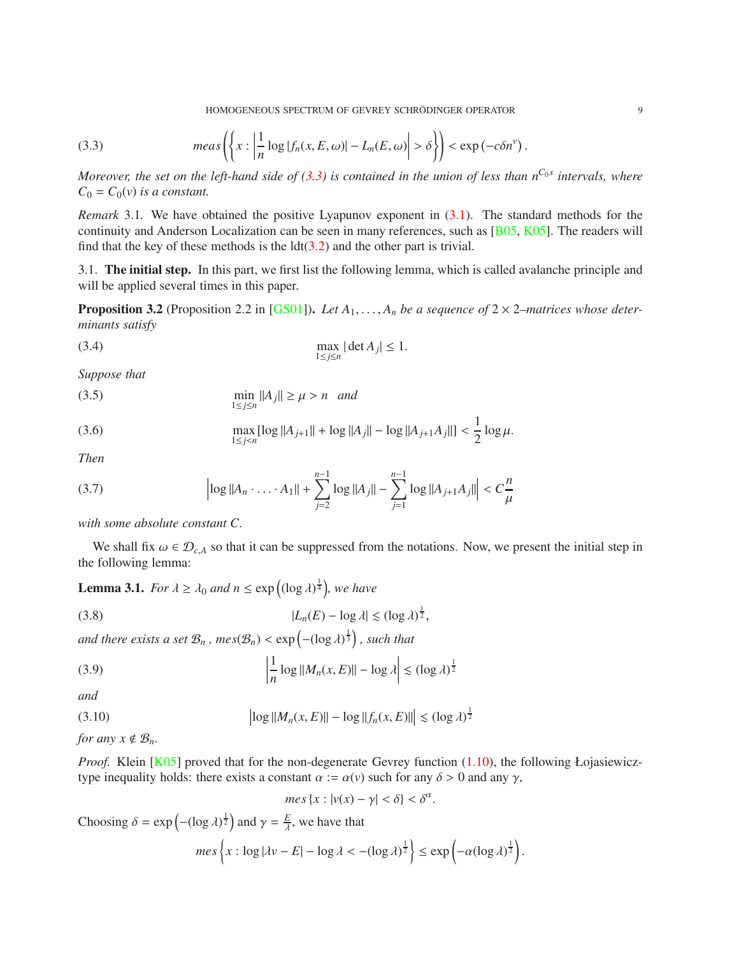<span id="page-8-1"></span>HOMOGENEOUS SPECTRUM OF GEVREY SCHRÖDINGER OPERATOR <sup>9</sup>

(3.3) 
$$
meas\left(\left\{x: \left|\frac{1}{n}\log|f_n(x, E, \omega)| - L_n(E, \omega)\right| > \delta\right\}\right) < \exp(-c\delta n^{\nu})
$$

*Moreover, the set on the left-hand side of [\(3.3\)](#page-8-1)* is contained in the union of less than  $n^{C_0 s}$  intervals, where  $C_0 = C_0(v)$  *is a constant.* 

<span id="page-8-0"></span>*Remark* 3.1. We have obtained the positive Lyapunov exponent in  $(3.1)$ . The standard methods for the continuity and Anderson Localization can be seen in many references, such as [\[B05,](#page-23-5) [K05\]](#page-24-13). The readers will find that the key of these methods is the  $ldt(3.2)$  $ldt(3.2)$  and the other part is trivial.

3.1. The initial step. In this part, we first list the following lemma, which is called avalanche principle and will be applied several times in this paper.

<span id="page-8-2"></span>**Proposition 3.2** (Proposition 2.2 in [\[GS01\]](#page-24-1)). Let  $A_1, \ldots, A_n$  be a sequence of  $2 \times 2$ –matrices whose deter*minants satisfy*

(3.4) 
$$
\max_{1 \le j \le n} |\det A_j| \le 1.
$$

*Suppose that*

$$
\min_{1 \le j \le n} \|A_j\| \ge \mu > n \quad \text{and}
$$

(3.6) 
$$
\max_{1 \le j < n} [\log ||A_{j+1}|| + \log ||A_j|| - \log ||A_{j+1}A_j||] < \frac{1}{2} \log \mu.
$$

*Then*

(3.7) 
$$
\left|\log \|A_n \cdot \ldots \cdot A_1\| + \sum_{j=2}^{n-1} \log \|A_j\| - \sum_{j=1}^{n-1} \log \|A_{j+1}A_j\| \right| < C \frac{n}{\mu}
$$

*with some absolute constant C.*

We shall fix  $\omega \in \mathcal{D}_{c,A}$  so that it can be suppressed from the notations. Now, we present the initial step in the following lemma:

**Lemma 3.1.** *For*  $\lambda \ge \lambda_0$  *and*  $n \le \exp\left((\log \lambda)^{\frac{1}{4}}\right)$ *, we have* 

$$
(3.8) \t\t\t |L_n(E) - \log \lambda| \lesssim (\log \lambda)^{\frac{1}{2}},
$$

and there exists a set  $\mathcal{B}_n$  *, mes*( $\mathcal{B}_n$ ) < exp $\left(-(\log \lambda)^{\frac{1}{3}}\right)$ *, such that* 

(3.9) 
$$
\left|\frac{1}{n}\log\|M_n(x,E)\| - \log\lambda\right| \lesssim (\log\lambda)^{\frac{1}{2}}
$$

*and*

(3.10) 
$$
\left| \log \| M_n(x, E) \| - \log \| f_n(x, E) \| \right| \lesssim (\log \lambda)^{\frac{1}{2}}
$$

*for any*  $x \notin \mathcal{B}_n$ *.* 

*Proof.* Klein [\[K05\]](#page-24-13) proved that for the non-degenerate Gevrey function [\(1.10\)](#page-2-1), the following Łojasiewicztype inequality holds: there exists a constant  $\alpha := \alpha(v)$  such for any  $\delta > 0$  and any  $\gamma$ ,

<span id="page-8-5"></span><span id="page-8-4"></span><span id="page-8-3"></span>
$$
mes\{x: |v(x)-\gamma|<\delta\}<\delta^{\alpha}.
$$

Choosing  $\delta = \exp\left(-(\log \lambda)^{\frac{1}{2}}\right)$  and  $\gamma = \frac{E}{\lambda}$  $\frac{E}{\lambda}$ , we have that

$$
mes\left\{x: \log|\lambda v - E| - \log \lambda < -(\log \lambda)^{\frac{1}{2}}\right\} \leq exp\left(-\alpha (\log \lambda)^{\frac{1}{2}}\right).
$$

.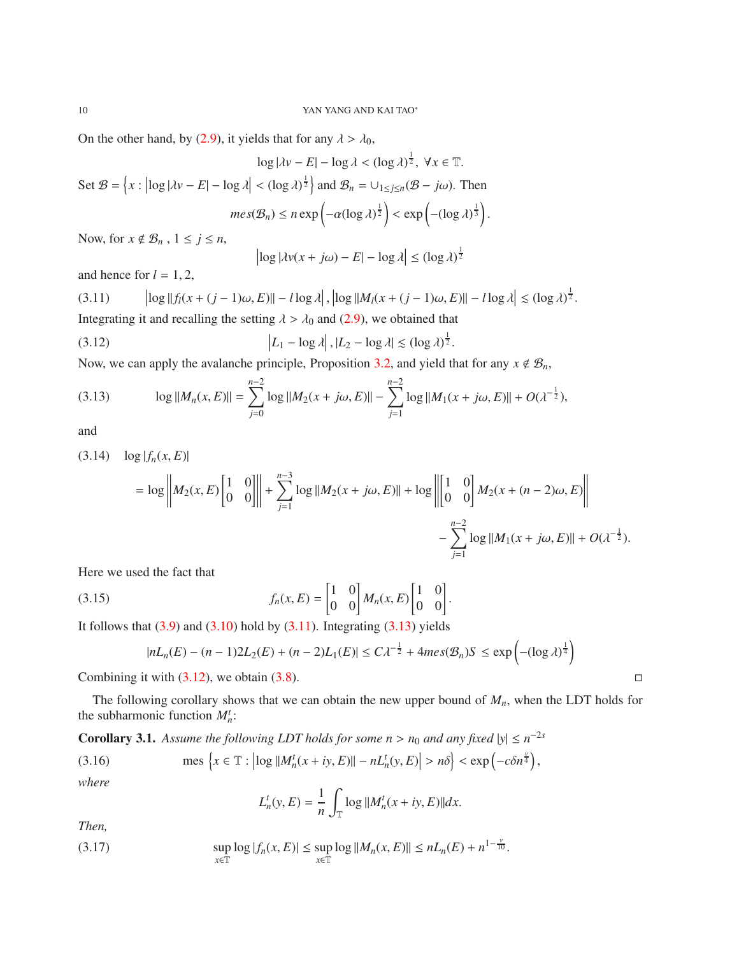On the other hand, by [\(2.9\)](#page-4-3), it yields that for any  $\lambda > \lambda_0$ ,

$$
\log|\lambda v - E| - \log \lambda < (\log \lambda)^{\frac{1}{2}}, \ \forall x \in \mathbb{T}.
$$
\n
$$
\text{Set } \mathcal{B} = \left\{ x : \left| \log |\lambda v - E| - \log \lambda \right| < (\log \lambda)^{\frac{1}{2}} \right\} \text{ and } \mathcal{B}_n = \cup_{1 \le j \le n} (\mathcal{B} - j\omega). \text{ Then}
$$
\n
$$
\text{mes}(\mathcal{B}_n) \le n \exp \left( -\alpha (\log \lambda)^{\frac{1}{2}} \right) < \exp \left( -(\log \lambda)^{\frac{1}{3}} \right).
$$

Now, for  $x \notin \mathcal{B}_n$ ,  $1 \leq j \leq n$ ,

$$
\left|\log|\lambda v(x+j\omega) - E| - \log\lambda\right| \le (\log\lambda)^{\frac{1}{2}}
$$

and hence for  $l = 1, 2,$ 

<span id="page-9-0"></span>(3.11) 
$$
\left|\log\|f_l(x+(j-1)\omega,E)\| - l\log\lambda\right|, \left|\log\|M_l(x+(j-1)\omega,E)\| - l\log\lambda\right| \lesssim (\log\lambda)^{\frac{1}{2}}.
$$
 Integrating it and recalling the setting  $\lambda > \lambda_0$  and (2.9), we obtained that

(3.12) 
$$
\left| L_1 - \log \lambda \right|, \left| L_2 - \log \lambda \right| \lesssim (\log \lambda)^{\frac{1}{2}}.
$$

<span id="page-9-2"></span> $\begin{array}{c} \begin{array}{c} \begin{array}{c} \end{array} \\ \begin{array}{c} \end{array} \end{array} \end{array}$ 

Now, we can apply the avalanche principle, Proposition [3.2,](#page-8-2) and yield that for any  $x \notin \mathcal{B}_n$ ,

<span id="page-9-1"></span>(3.13) 
$$
\log ||M_n(x, E)|| = \sum_{j=0}^{n-2} \log ||M_2(x + j\omega, E)|| - \sum_{j=1}^{n-2} \log ||M_1(x + j\omega, E)|| + O(\lambda^{-\frac{1}{2}}),
$$

and

<span id="page-9-3"></span>
$$
(3.14) \quad \log|f_n(x, E)|
$$
  
=  $\log \left\| M_2(x, E) \begin{bmatrix} 1 & 0 \\ 0 & 0 \end{bmatrix} \right\| + \sum_{j=1}^{n-3} \log \| M_2(x + j\omega, E) \| + \log \left\| \begin{bmatrix} 1 & 0 \\ 0 & 0 \end{bmatrix} M_2(x + (n-2)\omega, E) \right\|$   

$$
- \sum_{j=1}^{n-2} \log \| M_1(x + j\omega, E) \| + O(\lambda^{-\frac{1}{2}}).
$$

Here we used the fact that

$$
(3.15) \qquad f_n(x,E) = \begin{bmatrix} 1 & 0 \\ 0 & 0 \end{bmatrix} M_n(x,E) \begin{bmatrix} 1 & 0 \\ 0 & 0 \end{bmatrix}
$$

It follows that  $(3.9)$  and  $(3.10)$  hold by  $(3.11)$ . Integrating  $(3.13)$  yields

<span id="page-9-5"></span>
$$
|nL_n(E) - (n-1)2L_2(E) + (n-2)L_1(E)| \le C\lambda^{-\frac{1}{2}} + 4mes(\mathcal{B}_n)S \le \exp\left(-(\log\lambda)^{\frac{1}{4}}\right)
$$

.

Combining it with  $(3.12)$ , we obtain  $(3.8)$ .

The following corollary shows that we can obtain the new upper bound of *Mn*, when the LDT holds for the subharmonic function  $M_h^t$ :

<span id="page-9-4"></span>**Corollary 3.1.** Assume the following LDT holds for some  $n > n_0$  and any fixed  $|y| \le n^{-2s}$ 

(3.16) 
$$
\text{mes } \left\{ x \in \mathbb{T} : \left| \log \left| \left| M_n^t(x+iy, E) \right| \right| - nL_n^t(y, E) \right| > n\delta \right\} < \exp\left( -c\delta n^{\frac{\gamma}{4}} \right),
$$

*where*

$$
L_n^t(y, E) = \frac{1}{n} \int_{\mathbb{T}} \log ||M_n^t(x + iy, E)|| dx.
$$

*Then,*

(3.17) 
$$
\sup_{x \in \mathbb{T}} \log |f_n(x, E)| \leq \sup_{x \in \mathbb{T}} \log ||M_n(x, E)|| \leq nL_n(E) + n^{1 - \frac{\nu}{10}}.
$$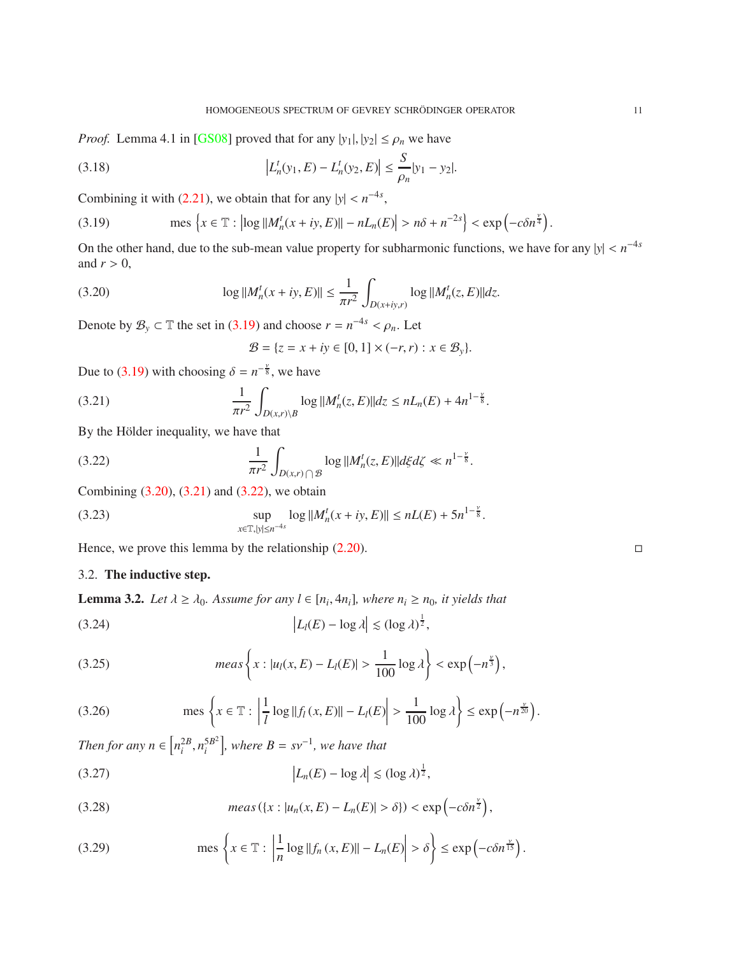*Proof.* Lemma 4.1 in [\[GS08\]](#page-24-15) proved that for any  $|y_1|, |y_2| \le \rho_n$  we have

(3.18) 
$$
\left| L_n^t(y_1, E) - L_n^t(y_2, E) \right| \leq \frac{S}{\rho_n} |y_1 - y_2|.
$$

Combining it with [\(2.21\)](#page-6-0), we obtain that for any  $|y| < n^{-4s}$ ,

<span id="page-10-0"></span>(3.19) 
$$
\text{mes } \left\{ x \in \mathbb{T} : \left| \log \left| M_n^t(x+iy, E) \right| \right| - nL_n(E) \right| > n\delta + n^{-2s} \right\} < \exp \left( -c \delta n^{\frac{\gamma}{4}} \right).
$$

On the other hand, due to the sub-mean value property for subharmonic functions, we have for any  $|y| < n^{-4s}$ and  $r > 0$ ,

(3.20) 
$$
\log ||M_n^t(x+iy, E)|| \leq \frac{1}{\pi r^2} \int_{D(x+iy,r)} \log ||M_n^t(z, E)||dz.
$$

Denote by  $\mathcal{B}_y \subset \mathbb{T}$  the set in [\(3.19\)](#page-10-0) and choose  $r = n^{-4s} < \rho_n$ . Let

<span id="page-10-3"></span><span id="page-10-2"></span><span id="page-10-1"></span>
$$
\mathcal{B} = \{z = x + iy \in [0, 1] \times (-r, r) : x \in \mathcal{B}_y\}.
$$

Due to [\(3.19\)](#page-10-0) with choosing  $\delta = n^{-\frac{v}{8}}$ , we have

(3.21) 
$$
\frac{1}{\pi r^2} \int_{D(x,r)\backslash B} \log ||M_n^t(z,E)|| dz \leq nL_n(E) + 4n^{1-\frac{\nu}{8}}.
$$

By the Hölder inequality, we have that

(3.22) 
$$
\frac{1}{\pi r^2} \int_{D(x,r) \cap \mathcal{B}} \log ||M_n^t(z, E)|| d\xi d\zeta \ll n^{1-\frac{\nu}{8}}.
$$

Combining [\(3.20\)](#page-10-1), [\(3.21\)](#page-10-2) and [\(3.22\)](#page-10-3), we obtain

<span id="page-10-9"></span>(3.23) 
$$
\sup_{x \in \mathbb{T}, |y| \le n^{-4s}} \log ||M_n^t(x+iy, E)|| \le nL(E) + 5n^{1-\frac{v}{8}}.
$$

Hence, we prove this lemma by the relationship  $(2.20)$ .

# 3.2. The inductive step.

<span id="page-10-11"></span>**Lemma 3.2.** *Let*  $\lambda \ge \lambda_0$ . Assume for any  $l \in [n_i, 4n_i]$ , where  $n_i \ge n_0$ , it yields that

<span id="page-10-6"></span>
$$
(3.24) \t\t |Ll(E) - \log \lambda| \lesssim (\log \lambda)^{\frac{1}{2}},
$$

<span id="page-10-4"></span>(3.25) 
$$
meas \left\{ x : |u_l(x, E) - L_l(E)| > \frac{1}{100} \log \lambda \right\} < \exp\left(-n^{\frac{\nu}{3}}\right),
$$

<span id="page-10-8"></span>(3.26) 
$$
\operatorname{mes} \left\{ x \in \mathbb{T} : \left| \frac{1}{l} \log ||f_l(x, E)|| - L_l(E) \right| > \frac{1}{100} \log \lambda \right\} \leq \exp\left(-n^{\frac{\nu}{20}}\right).
$$

*Then for any*  $n \in [n_i^{2B}, n_i^{5B^2}]$  $\int_i^{5B^2}$ , where  $B = s\nu^{-1}$ , we have that  $(3.27)$ 

<span id="page-10-5"></span>
$$
(3.27) \t\t\t |L_n(E) - \log \lambda| \lesssim (\log \lambda)^{\frac{1}{2}},
$$

<span id="page-10-7"></span>(3.28) 
$$
meas(\lbrace x: |u_n(x,E)-L_n(E)|>\delta\rbrace)<\exp\left(-c\delta n^{\frac{\nu}{2}}\right),
$$

<span id="page-10-10"></span>(3.29) 
$$
\text{mes } \left\{ x \in \mathbb{T} : \left| \frac{1}{n} \log ||f_n(x, E)|| - L_n(E) \right| > \delta \right\} \le \exp \left( -c \delta n^{\frac{\nu}{15}} \right).
$$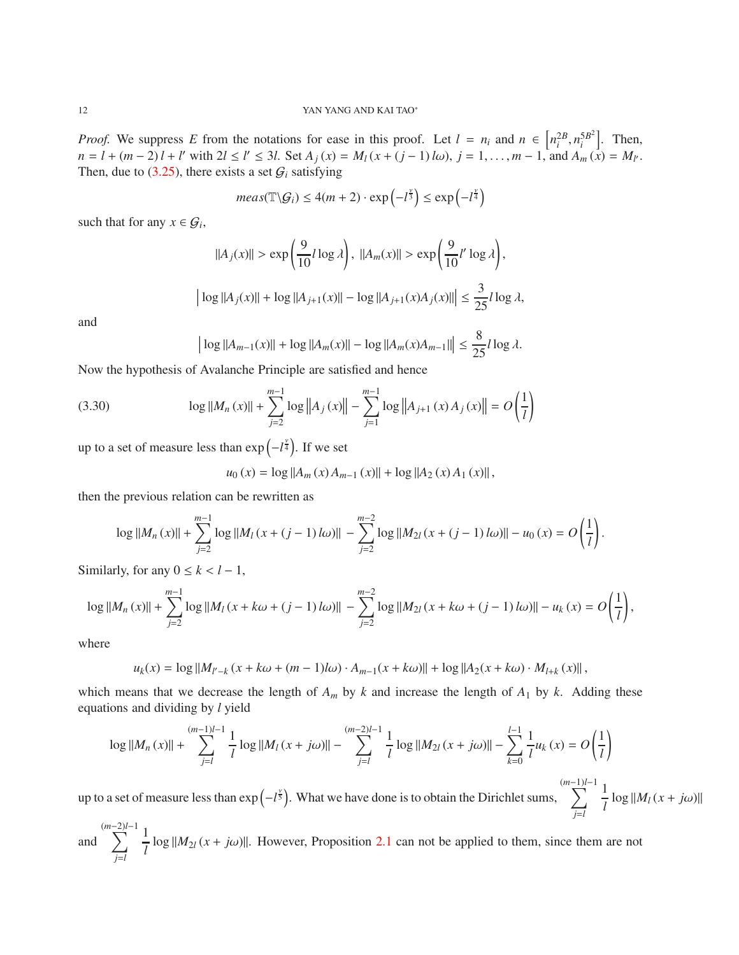*Proof.* We suppress *E* from the notations for ease in this proof. Let  $l = n_i$  and  $n \in \left[ n_i^{2B}, n_i^{5B^2} \right]$  $\begin{bmatrix} 5B^2 \\ i \end{bmatrix}$ . Then,  $n = l + (m-2)l + l'$  with  $2l \le l' \le 3l$ . Set  $A_j(x) = M_l(x + (j-1)l\omega)$ ,  $j = 1, ..., m-1$ , and  $A_m(x) = M_l$ . Then, due to  $(3.25)$ , there exists a set  $G_i$  satisfying

$$
meas(\mathbb{T}\backslash G_i) \le 4(m+2) \cdot \exp\left(-l^{\frac{\nu}{3}}\right) \le \exp\left(-l^{\frac{\nu}{4}}\right)
$$

such that for any  $x \in \mathcal{G}_i$ ,

$$
||A_j(x)|| > \exp\left(\frac{9}{10}l\log\lambda\right), \ ||A_m(x)|| > \exp\left(\frac{9}{10}l'\log\lambda\right),
$$
  

$$
\left|\log||A_j(x)|| + \log||A_{j+1}(x)|| - \log||A_{j+1}(x)A_j(x)||\right| \le \frac{3}{25}l\log\lambda,
$$

and

<span id="page-11-0"></span>
$$
\left| \log ||A_{m-1}(x)|| + \log ||A_m(x)|| - \log ||A_m(x)A_{m-1}|| \right| \le \frac{8}{25} l \log \lambda.
$$

Now the hypothesis of Avalanche Principle are satisfied and hence

(3.30) 
$$
\log ||M_n(x)|| + \sum_{j=2}^{m-1} \log ||A_j(x)|| - \sum_{j=1}^{m-1} \log ||A_{j+1}(x)A_j(x)|| = O\left(\frac{1}{l}\right)
$$

up to a set of measure less than  $\exp(-l^{\frac{y}{4}})$ . If we set

$$
u_0(x) = \log ||A_m(x) A_{m-1}(x)|| + \log ||A_2(x) A_1(x)||,
$$

then the previous relation can be rewritten as

 $\parallel$  $\overline{\phantom{a}}$ 

$$
\log ||M_n(x)|| + \sum_{j=2}^{m-1} \log ||M_l(x + (j-1) \, l\omega)|| - \sum_{j=2}^{m-2} \log ||M_{2l}(x + (j-1) \, l\omega)|| - u_0(x) = O\left(\frac{1}{l}\right).
$$

Similarly, for any  $0 \le k < l - 1$ ,

$$
\log||M_n(x)|| + \sum_{j=2}^{m-1} \log||M_l(x + k\omega + (j-1) \, l\omega)|| - \sum_{j=2}^{m-2} \log||M_{2l}(x + k\omega + (j-1) \, l\omega)|| - u_k(x) = O\left(\frac{1}{l}\right),
$$

where

$$
u_k(x) = \log ||M_{l'-k}(x + k\omega + (m-1)l\omega) \cdot A_{m-1}(x + k\omega)|| + \log ||A_2(x + k\omega) \cdot M_{l+k}(x)||,
$$

which means that we decrease the length of  $A_m$  by  $k$  and increase the length of  $A_1$  by  $k$ . Adding these equations and dividing by *l* yield

$$
\log ||M_n(x)|| + \sum_{j=l}^{(m-1)l-1} \frac{1}{l} \log ||M_l(x+j\omega)|| - \sum_{j=l}^{(m-2)l-1} \frac{1}{l} \log ||M_{2l}(x+j\omega)|| - \sum_{k=0}^{l-1} \frac{1}{l} u_k(x) = O\left(\frac{1}{l}\right)
$$

up to a set of measure less than  $\exp(-l^{\frac{y}{5}})$ . What we have done is to obtain the Dirichlet sums,  $\sum_{n=1}^{\infty}$ *j*=*l* 1  $\frac{1}{l}$  log  $||M_l(x + j\omega)||$ 

and 
$$
\sum_{j=l}^{(m-2)l-1} \frac{1}{l} \log ||M_{2l}(x+j\omega)||
$$
. However, Proposition 2.1 can not be applied to them, since them are not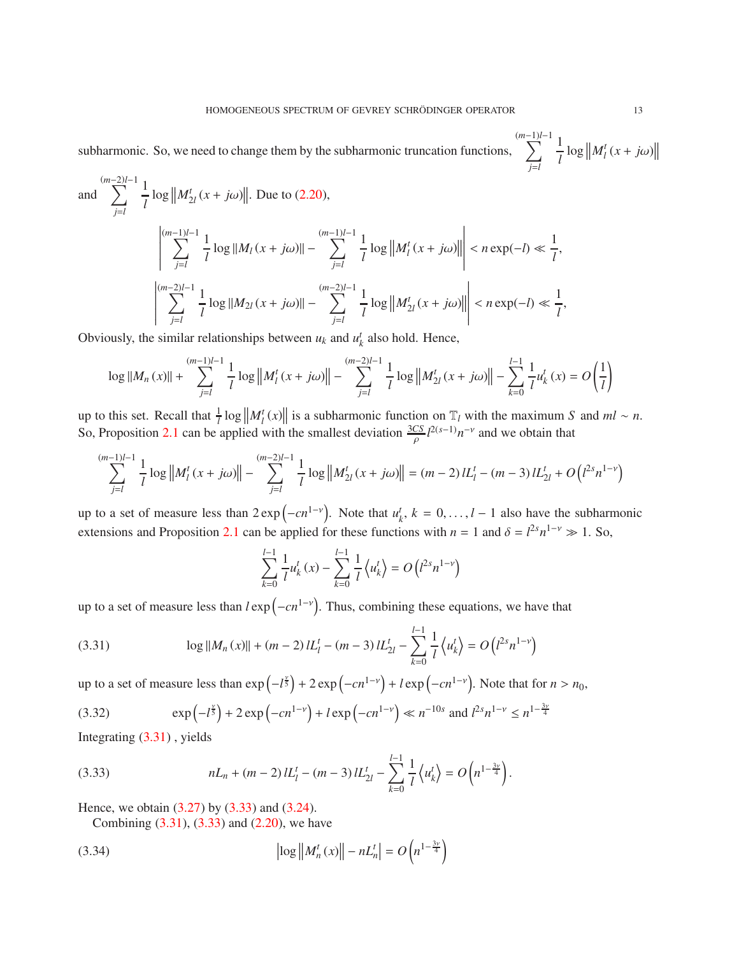subharmonic. So, we need to change them by the subharmonic truncation functions,  $\sum_{n=1}^{(m-1)/-1}$ *j*=*l* 1  $\frac{1}{l} \log \left\| M_l^t(x + j\omega) \right\|$ 

and 
$$
\sum_{j=l}^{(m-2)l-1} \frac{1}{l} \log ||M_{2l}^{t}(x+j\omega)||
$$
 Due to (2.20),
$$
\left|\sum_{j=l}^{(m-1)l-1} \frac{1}{l} \log ||M_{l}(x+j\omega)|| - \sum_{j=l}^{(m-1)l-1} \frac{1}{l} \log ||M_{l}^{t}(x+j\omega)|| \right| < n \exp(-l) \ll \frac{1}{l},
$$

$$
\left|\sum_{j=l}^{(m-2)l-1} \frac{1}{l} \log ||M_{2l}(x+j\omega)|| - \sum_{j=l}^{(m-2)l-1} \frac{1}{l} \log ||M_{2l}^{t}(x+j\omega)|| \right| < n \exp(-l) \ll \frac{1}{l},
$$

Obviously, the similar relationships between  $u_k$  and  $u'_k$  also hold. Hence,

$$
\log \Vert M_{n}(x) \Vert + \sum_{j=l}^{(m-1)l-1} \frac{1}{l} \log \left\Vert M^{t}_{l}(x+j\omega) \right\Vert - \sum_{j=l}^{(m-2)l-1} \frac{1}{l} \log \left\Vert M^{t}_{2l}(x+j\omega) \right\Vert - \sum_{k=0}^{l-1} \frac{1}{l} u^{t}_{k}(x) = O \left( \frac{1}{l} \right)
$$

up to this set. Recall that  $\frac{1}{l} \log ||M_l^t(x)||$  is a subharmonic function on  $\mathbb{T}_l$  with the maximum *S* and  $ml \sim n$ . So, Proposition [2.1](#page-4-4) can be applied with the smallest deviation  $\frac{3CS}{\rho} l^{2(s-1)} n^{-\nu}$  and we obtain that

$$
\sum_{j=l}^{(m-1)l-1} \frac{1}{l} \log \left\| M_l^t(x+j\omega) \right\| - \sum_{j=l}^{(m-2)l-1} \frac{1}{l} \log \left\| M_{2l}^t(x+j\omega) \right\| = (m-2) l L_l^t - (m-3) l L_{2l}^t + O\left(l^{2s} n^{1-\nu}\right)
$$

up to a set of measure less than  $2 \exp(-cn^{1-\nu})$ . Note that  $u_k^t$ ,  $k = 0, ..., l-1$  also have the subharmonic extensions and Proposition [2.1](#page-4-4) can be applied for these functions with  $n = 1$  and  $\delta = l^{2s} n^{1-\nu} \gg 1$ . So,

$$
\sum_{k=0}^{l-1} \frac{1}{l} u_k^t(x) - \sum_{k=0}^{l-1} \frac{1}{l} \left\langle u_k^t \right\rangle = O\left(l^{2s} n^{1-\nu}\right)
$$

up to a set of measure less than  $l \exp(-cn^{1-\nu})$ . Thus, combining these equations, we have that

<span id="page-12-0"></span>(3.31) 
$$
\log ||M_n(x)|| + (m-2)L_l^t - (m-3)L_{2l}^t - \sum_{k=0}^{l-1} \frac{1}{l} \langle u_k^t \rangle = O(l^{2s} n^{1-\nu})
$$

up to a set of measure less than  $\exp(-l^{\frac{y}{5}}) + 2 \exp(-cn^{1-y}) + l \exp(-cn^{1-y})$ . Note that for  $n > n_0$ ,

(3.32) 
$$
\exp(-l^{\frac{v}{5}}) + 2\exp(-cn^{1-\nu}) + l\exp(-cn^{1-\nu}) \ll n^{-10s} \text{ and } l^{2s}n^{1-\nu} \le n^{1-\frac{3v}{4}}
$$

Integrating [\(3.31\)](#page-12-0) , yields

(3.33) 
$$
nL_n + (m-2) L_l^t - (m-3) L_{2l}^t - \sum_{k=0}^{l-1} \frac{1}{l} \left\langle u_k^t \right\rangle = O\left(n^{1-\frac{3y}{4}}\right).
$$

Hence, we obtain [\(3.27\)](#page-10-5) by [\(3.33\)](#page-12-1) and [\(3.24\)](#page-10-6).

<span id="page-12-1"></span>Combining [\(3.31\)](#page-12-0), [\(3.33\)](#page-12-1) and [\(2.20\)](#page-6-1), we have

(3.34) 
$$
\left| \log \left| M_n^t(x) \right| \right| - nL_n^t = O\left( n^{1 - \frac{3\nu}{4}} \right)
$$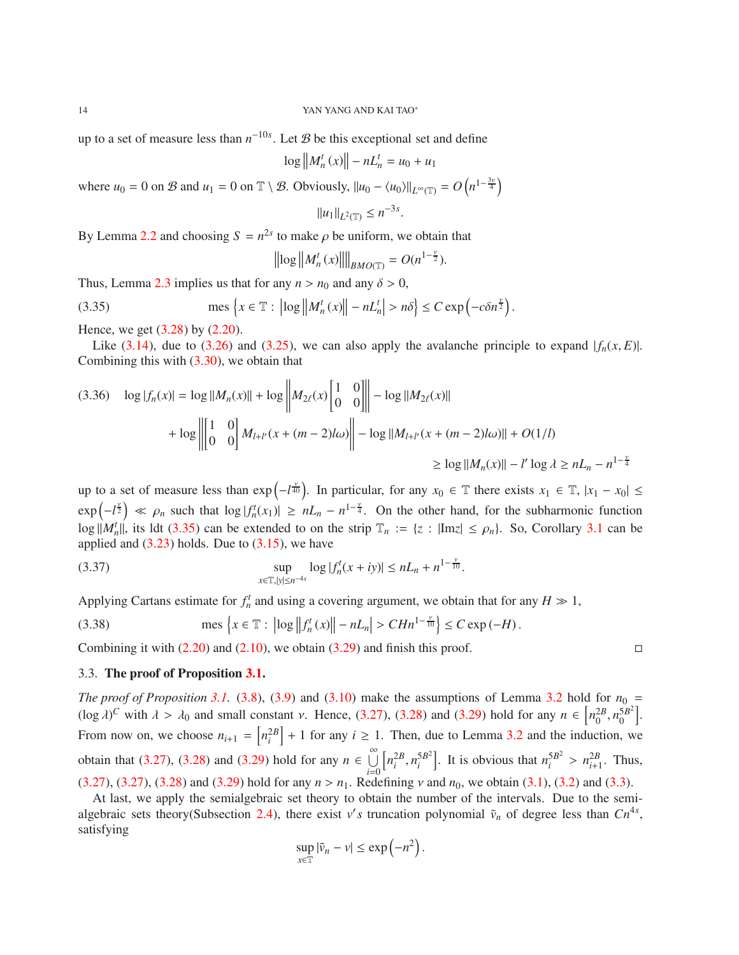up to a set of measure less than  $n^{-10s}$ . Let B be this exceptional set and define

$$
\log \|M_n^t(x)\| - nL_n^t = u_0 + u_1
$$

where  $u_0 = 0$  on  $\mathcal{B}$  and  $u_1 = 0$  on  $\mathbb{T} \setminus \mathcal{B}$ . Obviously,  $||u_0 - \langle u_0 \rangle||_{L^{\infty}(\mathbb{T})} = O(n^{1-\frac{3y}{4}})$ 

$$
||u_1||_{L^2(\mathbb{T})} \le n^{-3s}
$$

.

By Lemma [2.2](#page-5-3) and choosing  $S = n^{2s}$  to make  $\rho$  be uniform, we obtain that

<span id="page-13-0"></span>
$$
\left\| \log \left\| M_n^t(x) \right\| \right\|_{BMO(\mathbb{T})} = O(n^{1-\frac{\nu}{2}}).
$$

Thus, Lemma [2.3](#page-5-4) implies us that for any  $n > n_0$  and any  $\delta > 0$ ,

(3.35) 
$$
\text{mes } \left\{ x \in \mathbb{T} : \left| \log \left\| M_n^t(x) \right\| - nL_n^t \right| > n\delta \right\} \leq C \exp \left( -c \delta n^{\frac{\nu}{2}} \right).
$$

Hence, we get [\(3.28\)](#page-10-7) by [\(2.20\)](#page-6-1).

Like  $(3.14)$ , due to  $(3.26)$  and  $(3.25)$ , we can also apply the avalanche principle to expand  $|f_n(x, E)|$ . Combining this with  $(3.30)$ , we obtain that

$$
(3.36) \quad \log|f_n(x)| = \log||M_n(x)|| + \log \left\| M_{2\ell}(x) \begin{bmatrix} 1 & 0 \\ 0 & 0 \end{bmatrix} \right\| - \log||M_{2\ell}(x)|| + \log \left\| \begin{bmatrix} 1 & 0 \\ 0 & 0 \end{bmatrix} \right\| + \log \left\| \begin{bmatrix} 1 & 0 \\ 0 & 0 \end{bmatrix} M_{l+l'}(x + (m-2)l\omega) \right\| - \log ||M_{l+l'}(x + (m-2)l\omega)|| + O(1/l)
$$
  
\n
$$
\geq \log ||M_n(x)|| - l' \log \lambda \geq nL_n - n^{1-\frac{\nu}{4}}
$$

up to a set of measure less than  $\exp(-l^{\frac{\gamma}{40}})$ . In particular, for any  $x_0 \in \mathbb{T}$  there exists  $x_1 \in \mathbb{T}$ ,  $|x_1 - x_0| \le$  $\exp(-l^{\frac{y}{2}}) \ll \rho_n$  such that  $\log|f_n^t(x_1)| \geq nL_n - n^{1-\frac{y}{4}}$ . On the other hand, for the subharmonic function  $\log |M_n^t|$ , its ldt [\(3.35\)](#page-13-0) can be extended to on the strip  $\mathbb{T}_n := \{z : |\text{Im}z| \le \rho_n\}$ . So, Corollary [3.1](#page-9-4) can be applied and  $(3.23)$  holds. Due to  $(3.15)$ , we have

(3.37) 
$$
\sup_{x \in \mathbb{T}, |y| \le n^{-4s}} \log |f_n^t(x+iy)| \le nL_n + n^{1-\frac{v}{10}}.
$$

Applying Cartans estimate for  $f_n^t$  and using a covering argument, we obtain that for any  $H \gg 1$ ,

(3.38) 
$$
\text{mes } \{x \in \mathbb{T} : \left| \log \left| \left| f_n^t(x) \right| \right| - nL_n \right| > C H n^{1 - \frac{\nu}{10}} \leq C \exp(-H).
$$

Combining it with  $(2.20)$  and  $(2.10)$ , we obtain  $(3.29)$  and finish this proof.

### 3.3. The proof of Proposition [3.1.](#page-7-2)

*The proof of Proposition* [3.1.](#page-7-2) [\(3.8\)](#page-8-5), [\(3.9\)](#page-8-3) and [\(3.10\)](#page-8-4) make the assumptions of Lemma [3.2](#page-10-11) hold for  $n_0 =$  $(\log \lambda)^C$  with  $\lambda > \lambda_0$  and small constant *v*. Hence, [\(3.27\)](#page-10-5), [\(3.28\)](#page-10-7) and [\(3.29\)](#page-10-10) hold for any  $n \in \left[ n_0^{2B}, n_0^{5B^2} \right]$  $\begin{bmatrix} 5B^2 \\ 0 \end{bmatrix}$ . From now on, we choose  $n_{i+1} = [n_i^{2B}] + 1$  for any  $i \ge 1$ . Then, due to Lemma [3.2](#page-10-11) and the induction, we obtain that [\(3.27\)](#page-10-5), [\(3.28\)](#page-10-7) and [\(3.29\)](#page-10-10) hold for any *n* ∈  $\bigcup_{i=0}^{\infty}$  $\left[ n_i^{2B}, n_i^{5B^2} \right]$  $\binom{5B^2}{i}$ . It is obvious that  $n_i^{5B^2}$  $\frac{5B^2}{i} > n_{i+1}^{2B}$ . Thus, [\(3.27\)](#page-10-5), [\(3.27\)](#page-10-5), [\(3.28\)](#page-10-7) and [\(3.29\)](#page-10-10) hold for any  $n > n_1$ . Redefining v and  $n_0$ , we obtain [\(3.1\)](#page-7-0), [\(3.2\)](#page-7-1) and [\(3.3\)](#page-8-1).

At last, we apply the semialgebraic set theory to obtain the number of the intervals. Due to the semi-algebraic sets theory(Subsection [2.4\)](#page-7-3), there exist *v's* truncation polynomial  $\tilde{v}_n$  of degree less than  $Cn^{4s}$ , satisfying

$$
\sup_{x\in\mathbb{T}}|\tilde{v}_n-v|\leq \exp\left(-n^2\right).
$$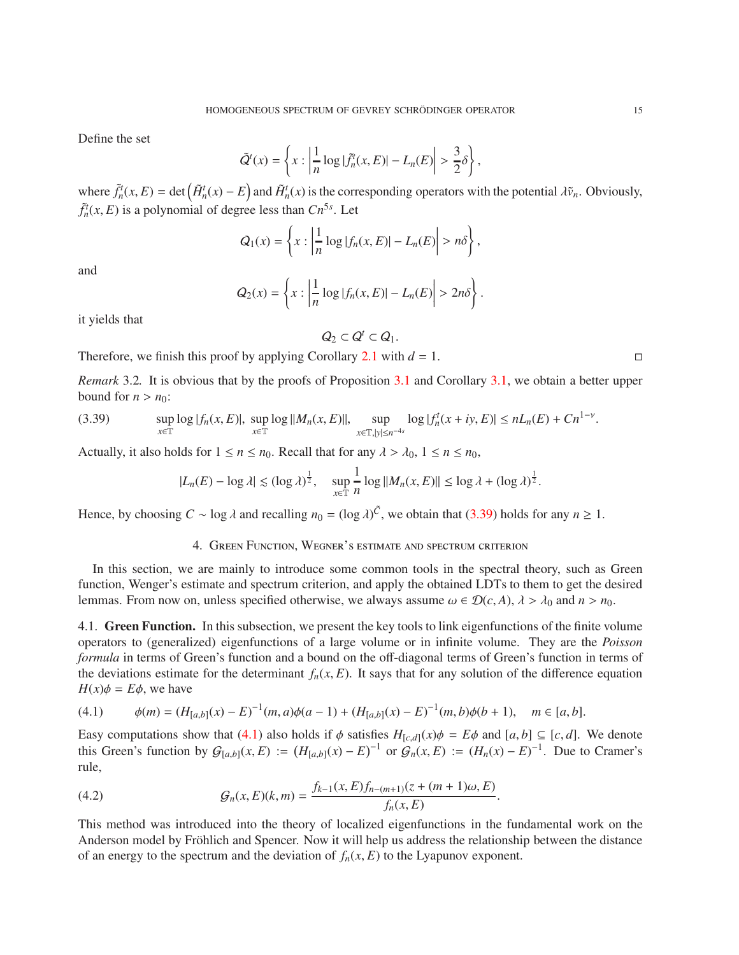Define the set

$$
\tilde{Q}^t(x) = \left\{ x : \left| \frac{1}{n} \log |\tilde{f}_n^t(x, E)| - L_n(E) \right| > \frac{3}{2} \delta \right\},\,
$$

where  $\tilde{f}_n^t(x, E) = \det(\tilde{H}_n^t(x) - E)$  and  $\tilde{H}_n^t(x)$  is the corresponding operators with the potential  $\lambda \tilde{v}_n$ . Obviously,  $\tilde{f}_n^t(x, E)$  is a polynomial of degree less than  $Cn^{5s}$ . Let

$$
Q_1(x) = \left\{ x : \left| \frac{1}{n} \log |f_n(x, E)| - L_n(E) \right| > n\delta \right\},\
$$

and

$$
Q_2(x) = \left\{ x : \left| \frac{1}{n} \log |f_n(x, E)| - L_n(E) \right| > 2n\delta \right\}.
$$

it yields that

$$
Q_2\subset Q^t\subset Q_1.
$$

Therefore, we finish this proof by applying Corollary [2.1](#page-7-4) with  $d = 1$ .

*Remark* 3.2. It is obvious that by the proofs of Proposition [3.1](#page-7-2) and Corollary [3.1,](#page-9-4) we obtain a better upper bound for  $n > n_0$ :

(3.39) 
$$
\sup_{x \in \mathbb{T}} \log |f_n(x, E)|, \sup_{x \in \mathbb{T}} \log ||M_n(x, E)||, \sup_{x \in \mathbb{T}, |y| \le n^{-4s}} \log |f_n^t(x + iy, E)| \le nL_n(E) + Cn^{1-\nu}.
$$

Actually, it also holds for  $1 \le n \le n_0$ . Recall that for any  $\lambda > \lambda_0$ ,  $1 \le n \le n_0$ ,

<span id="page-14-0"></span>
$$
|L_n(E) - \log \lambda| \le (\log \lambda)^{\frac{1}{2}}, \quad \sup_{x \in \mathbb{T}} \frac{1}{n} \log ||M_n(x, E)|| \le \log \lambda + (\log \lambda)^{\frac{1}{2}}.
$$

Hence, by choosing  $C \sim \log \lambda$  and recalling  $n_0 = (\log \lambda)^{\tilde{C}}$ , we obtain that [\(3.39\)](#page-14-0) holds for any  $n \ge 1$ .

## 4. Green Function, Wegner's estimate and spectrum criterion

In this section, we are mainly to introduce some common tools in the spectral theory, such as Green function, Wenger's estimate and spectrum criterion, and apply the obtained LDTs to them to get the desired lemmas. From now on, unless specified otherwise, we always assume  $\omega \in \mathcal{D}(c, A)$ ,  $\lambda > \lambda_0$  and  $n > n_0$ .

4.1. Green Function. In this subsection, we present the key tools to link eigenfunctions of the finite volume operators to (generalized) eigenfunctions of a large volume or in infinite volume. They are the *Poisson formula* in terms of Green's function and a bound on the off-diagonal terms of Green's function in terms of the deviations estimate for the determinant  $f_n(x, E)$ . It says that for any solution of the difference equation  $H(x)\phi = E\phi$ , we have

<span id="page-14-1"></span>
$$
(4.1) \qquad \phi(m) = (H_{[a,b]}(x) - E)^{-1}(m, a)\phi(a-1) + (H_{[a,b]}(x) - E)^{-1}(m, b)\phi(b+1), \quad m \in [a, b].
$$

Easy computations show that [\(4.1\)](#page-14-1) also holds if  $\phi$  satisfies  $H_{[c,d]}(x)\phi = E\phi$  and  $[a,b] \subseteq [c,d]$ . We denote this Green's function by  $\mathcal{G}_{[a,b]}(x, E) := (H_{[a,b]}(x) - E)^{-1}$  or  $\mathcal{G}_n(x, E) := (H_n(x) - E)^{-1}$ . Due to Cramer's rule,

<span id="page-14-2"></span>(4.2) 
$$
\mathcal{G}_n(x,E)(k,m) = \frac{f_{k-1}(x,E)f_{n-(m+1)}(z+(m+1)\omega,E)}{f_n(x,E)}.
$$

This method was introduced into the theory of localized eigenfunctions in the fundamental work on the Anderson model by Fröhlich and Spencer. Now it will help us address the relationship between the distance of an energy to the spectrum and the deviation of  $f_n(x, E)$  to the Lyapunov exponent.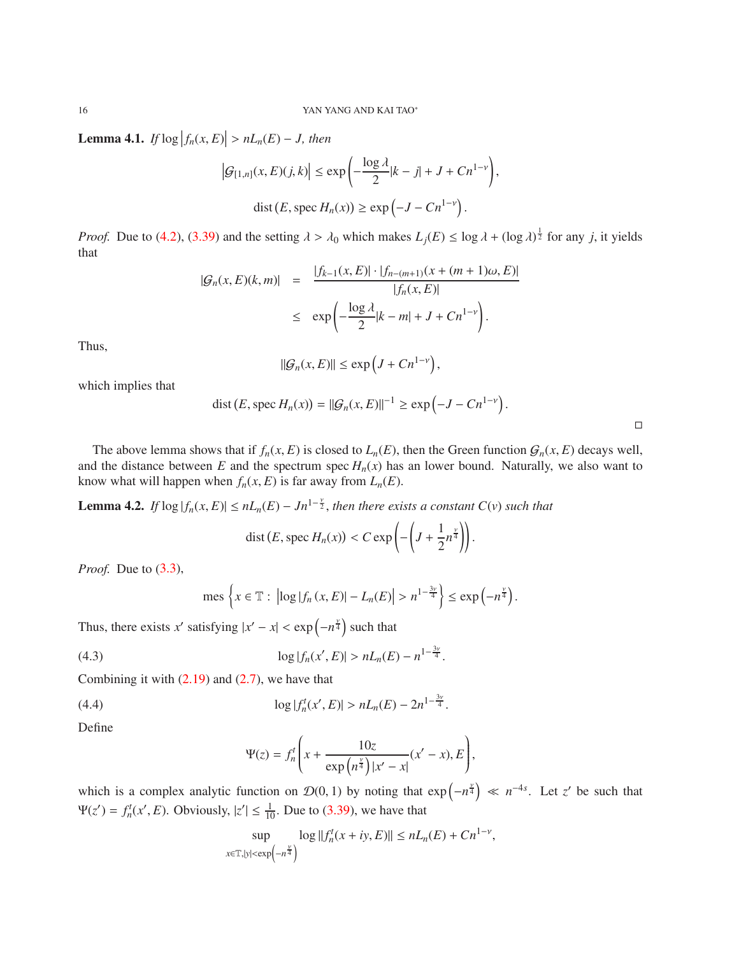<span id="page-15-0"></span>**Lemma 4.1.** *If*  $log |f_n(x, E)| > nL_n(E) - J$ , then

$$
\left|G_{[1,n]}(x,E)(j,k)\right| \le \exp\left(-\frac{\log\lambda}{2}|k-j| + J + Cn^{1-\nu}\right),\
$$
  
dist  $(E, \text{spec } H_n(x)) \ge \exp\left(-J - Cn^{1-\nu}\right).$ 

*Proof.* Due to [\(4.2\)](#page-14-2), [\(3.39\)](#page-14-0) and the setting  $\lambda > \lambda_0$  which makes  $L_j(E) \le \log \lambda + (\log \lambda)^{\frac{1}{2}}$  for any *j*, it yields that

$$
|G_n(x, E)(k, m)| = \frac{|f_{k-1}(x, E)| \cdot |f_{n-(m+1)}(x + (m+1)\omega, E)|}{|f_n(x, E)|}
$$
  
 
$$
\leq \exp\left(-\frac{\log \lambda}{2}|k - m| + J + Cn^{1-\nu}\right).
$$

Thus,

$$
\|\mathcal{G}_n(x,E)\| \le \exp\left(J + C n^{1-\nu}\right),\,
$$

which implies that

$$
dist(E, \text{spec } H_n(x)) = ||G_n(x, E)||^{-1} \ge \exp\left(-J - C n^{1-\nu}\right).
$$

 $\Box$ 

The above lemma shows that if  $f_n(x, E)$  is closed to  $L_n(E)$ , then the Green function  $G_n(x, E)$  decays well, and the distance between  $E$  and the spectrum spec  $H_n(x)$  has an lower bound. Naturally, we also want to know what will happen when  $f_n(x, E)$  is far away from  $L_n(E)$ .

**Lemma 4.2.** *If*  $\log |f_n(x, E)| \le nL_n(E) - Jn^{1-\frac{\nu}{2}}$ , then there exists a constant  $C(v)$  such that

$$
\operatorname{dist}(E, \operatorname{spec} H_n(x)) < C \exp\left(-\left(J + \frac{1}{2}n^{\frac{\gamma}{4}}\right)\right).
$$

*Proof.* Due to [\(3.3\)](#page-8-1),

mes 
$$
\left\{x \in \mathbb{T}: \left|\log|f_n(x,E)| - L_n(E)\right| > n^{1-\frac{3\nu}{4}}\right\} \le \exp\left(-n^{\frac{\nu}{4}}\right).
$$

Thus, there exists *x*' satisfying  $|x'-x| < \exp(-n^{\frac{v}{4}})$  such that

(4.3) 
$$
\log |f_n(x', E)| > nL_n(E) - n^{1 - \frac{3\nu}{4}}.
$$

Combining it with  $(2.19)$  and  $(2.7)$ , we have that

(4.4) 
$$
\log |f_n^t(x',E)| > nL_n(E) - 2n^{1-\frac{3\nu}{4}}.
$$

Define

$$
\Psi(z) = f_n^t \left( x + \frac{10z}{\exp\left(n^{\frac{\nu}{4}}\right) |x'-x|} (x'-x), E \right),
$$

which is a complex analytic function on  $\mathcal{D}(0, 1)$  by noting that  $\exp(-n^{\frac{v}{4}}) \ll n^{-4s}$ . Let *z'* be such that  $\Psi(z') = f_n^t(x', E)$ . Obviously,  $|z'| \leq \frac{1}{10}$ . Due to [\(3.39\)](#page-14-0), we have that

$$
\sup_{x \in \mathbb{T}, |y| < \exp\left(-n^{\frac{y}{4}}\right)} \log ||f_n^t(x+iy, E)|| \le nL_n(E) + Cn^{1-\nu},
$$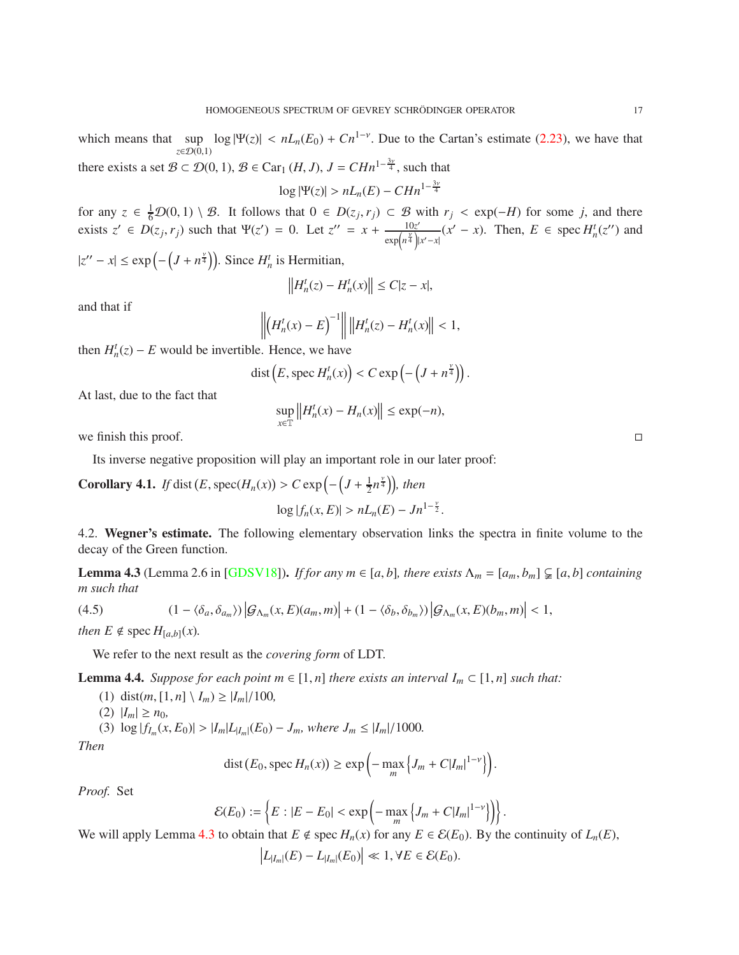which means that  $\sup_{x \in \mathbb{R}^n} \log |\Psi(z)| < nL_n(E_0) + Cn^{1-\nu}$ . Due to the Cartan's estimate [\(2.23\)](#page-7-5), we have that *z∈D*(0,1) there exists a set  $B \subset \mathcal{D}(0, 1), B \in \text{Car}_1(H, J), J = CHn^{1-\frac{3y}{4}}$ , such that

$$
\log|\Psi(z)| > nL_n(E) - C H n^{1-\frac{3\nu}{4}}
$$

for any  $z \in \frac{1}{6}\mathcal{D}(0, 1) \setminus \mathcal{B}$ . It follows that  $0 \in D(z_j, r_j) \subset \mathcal{B}$  with  $r_j < \exp(-H)$  for some *j*, and there exists  $z' \in D(z_j, r_j)$  such that  $\Psi(z') = 0$ . Let  $z'' = x + \frac{10z'}{\exp\left(\frac{x}{2}\right)}$  $\exp\left(n^{\frac{\gamma}{4}}\right)|x'-x|$  $(x'-x)$ . Then,  $E \in \text{spec } H_n^t(z'')$  and

 $|z'' - x| \le \exp\left(-\left(J + n^{\frac{\gamma}{4}}\right)\right)$ . Since  $H_n^t$  is Hermitian,

$$
\left\|H_n^t(z) - H_n^t(x)\right\| \le C|z - x|,
$$

and that if

$$
\left\| \left( H_n^t(x) - E \right)^{-1} \right\| \left\| H_n^t(z) - H_n^t(x) \right\| < 1,
$$

then  $H_n^t(z) - E$  would be invertible. Hence, we have

$$
dist(E, \text{spec } H_n^t(x)) < C \exp\left(-\left(J + n^{\frac{\gamma}{4}}\right)\right).
$$

At last, due to the fact that

$$
\sup_{x \in \mathbb{T}} \|H_n^t(x) - H_n(x)\| \le \exp(-n),
$$

we finish this proof.  $\Box$ 

Its inverse negative proposition will play an important role in our later proof:

<span id="page-16-2"></span>**Corollary 4.1.** *If* dist  $(E, \text{spec}(H_n(x)) > C \exp\left(-\left(J + \frac{1}{2}\right)\right)$  $\frac{1}{2}n^{\frac{\nu}{4}}$ )), then

$$
\log |f_n(x, E)| > nL_n(E) - Jn^{1-\frac{\nu}{2}}.
$$

4.2. Wegner's estimate. The following elementary observation links the spectra in finite volume to the decay of the Green function.

<span id="page-16-0"></span>**Lemma 4.3** (Lemma 2.6 in [\[GDSV18\]](#page-24-3)). *If for any m*  $\in$  [a, b], there exists  $\Lambda_m = [a_m, b_m] \subsetneq [a, b]$  containing *m such that*

(4.5) 
$$
(1 - \langle \delta_a, \delta_{a_m} \rangle) |\mathcal{G}_{\Lambda_m}(x, E)(a_m, m)| + (1 - \langle \delta_b, \delta_{b_m} \rangle) |\mathcal{G}_{\Lambda_m}(x, E)(b_m, m)| < 1,
$$

*then*  $E \notin \text{spec } H_{[a,b]}(x)$ .

We refer to the next result as the *covering form* of LDT.

<span id="page-16-1"></span>**Lemma 4.4.** *Suppose for each point m*  $\in$  [1, *n*] *there exists an interval*  $I_m \subset$  [1, *n*] *such that:* 

(1) dist $(m, [1, n] \setminus I_m) \ge |I_m|/100$ ,

$$
(2) |I_m| \ge n_0,
$$

(3) 
$$
\log |f_{I_m}(x, E_0)| > |I_m| L_{|I_m|}(E_0) - J_m
$$
, where  $J_m \le |I_m|/1000$ .

*Then*

$$
\operatorname{dist}(E_0, \operatorname{spec} H_n(x)) \ge \exp\left(-\max_m \left\{J_m + C|I_m|^{1-\nu}\right\}\right).
$$

*Proof.* Set

$$
\mathcal{E}(E_0) := \left\{ E : |E - E_0| < \exp\left(-\max_m \left\{ J_m + C|I_m|^{1-\nu} \right\} \right) \right\}.
$$

We will apply Lemma [4.3](#page-16-0) to obtain that  $E \notin \text{spec } H_n(x)$  for any  $E \in \mathcal{E}(E_0)$ . By the continuity of  $L_n(E)$ ,

$$
\left|L_{|I_m|}(E) - L_{|I_m|}(E_0)\right| \ll 1, \forall E \in \mathcal{E}(E_0).
$$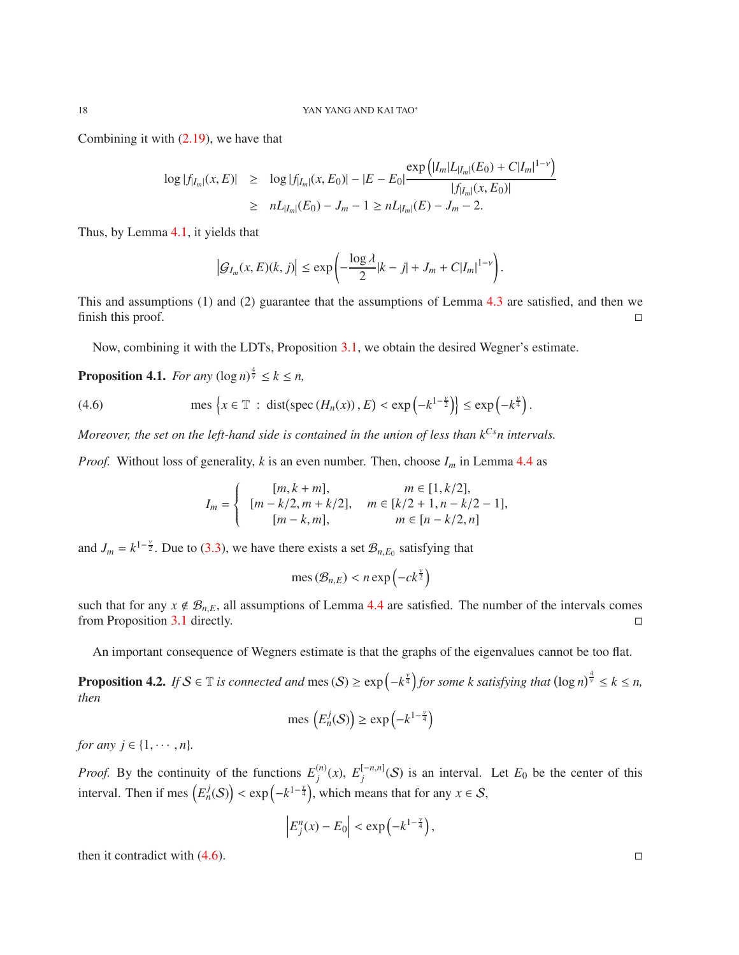Combining it with [\(2.19\)](#page-5-1), we have that

$$
\begin{array}{rcl}\n\log|f_{|I_m|}(x,E)| & \geq & \log|f_{|I_m|}(x,E_0)| - |E - E_0| \frac{\exp\left(|I_m|L_{|I_m|}(E_0) + C|I_m|^{1-\nu}\right)}{|f_{|I_m|}(x,E_0)|} \\
& \geq & nL_{|I_m|}(E_0) - J_m - 1 \geq nL_{|I_m|}(E) - J_m - 2.\n\end{array}
$$

Thus, by Lemma [4.1,](#page-15-0) it yields that

$$
\left|\mathcal{G}_{I_m}(x,E)(k,j)\right| \leq \exp\left(-\frac{\log\lambda}{2}|k-j|+J_m+C|I_m|^{1-\nu}\right).
$$

This and assumptions (1) and (2) guarantee that the assumptions of Lemma [4.3](#page-16-0) are satisfied, and then we finish this proof.  $\Box$ 

Now, combining it with the LDTs, Proposition [3.1,](#page-7-2) we obtain the desired Wegner's estimate.

<span id="page-17-1"></span>**Proposition 4.1.** *For any*  $(\log n)^{\frac{4}{\nu}} \leq k \leq n$ ,

(4.6) 
$$
\text{mes } \left\{ x \in \mathbb{T} : \text{dist}(\text{spec } (H_n(x)), E) < \exp\left(-k^{1-\frac{\nu}{2}}\right) \right\} \leq \exp\left(-k^{\frac{\nu}{4}}\right).
$$

*Moreover, the set on the left-hand side is contained in the union of less than*  $k^{Cs}$ *n intervals.* 

*Proof.* Without loss of generality, *k* is an even number. Then, choose  $I_m$  in Lemma [4.4](#page-16-1) as

<span id="page-17-0"></span>
$$
I_m = \begin{cases} [m, k+m], & m \in [1, k/2], \\ [m-k/2, m+k/2], & m \in [k/2+1, n-k/2-1], \\ [m-k, m], & m \in [n-k/2, n] \end{cases}
$$

and  $J_m = k^{1-\frac{v}{2}}$ . Due to [\(3.3\)](#page-8-1), we have there exists a set  $\mathcal{B}_{n,E_0}$  satisfying that

$$
\operatorname{mes} \left( \mathcal{B}_{n,E} \right) < n \exp \left( - c k^{\frac{\nu}{2}} \right)
$$

such that for any  $x \notin \mathcal{B}_{n,E}$ , all assumptions of Lemma [4.4](#page-16-1) are satisfied. The number of the intervals comes from Proposition 3.1 directly. from Proposition [3.1](#page-7-2) directly.

An important consequence of Wegners estimate is that the graphs of the eigenvalues cannot be too flat.

<span id="page-17-2"></span>**Proposition 4.2.** If  $S \in \mathbb{T}$  is connected and  $\text{mes}(S) \geq \exp\left(-k^{\frac{\gamma}{4}}\right)$  for some k satisfying that  $(\log n)^{\frac{4}{\gamma}} \leq k \leq n$ , *then*

mes 
$$
(E_n^j(\mathcal{S})) \ge \exp\left(-k^{1-\frac{\nu}{4}}\right)
$$

*for any*  $j \in \{1, \dots, n\}$ *.* 

*Proof.* By the continuity of the functions  $E_i^{(n)}$  $f_j^{(n)}(x)$ ,  $E_j^{[-n,n]}(S)$  is an interval. Let  $E_0$  be the center of this interval. Then if mes  $(E_n^j(\mathcal{S})) < \exp(-k^{1-\frac{\gamma}{4}})$ , which means that for any  $x \in \mathcal{S}$ ,

$$
\left| E_j^n(x) - E_0 \right| < \exp\left( -k^{1-\frac{\nu}{4}} \right),
$$

then it contradict with  $(4.6)$ .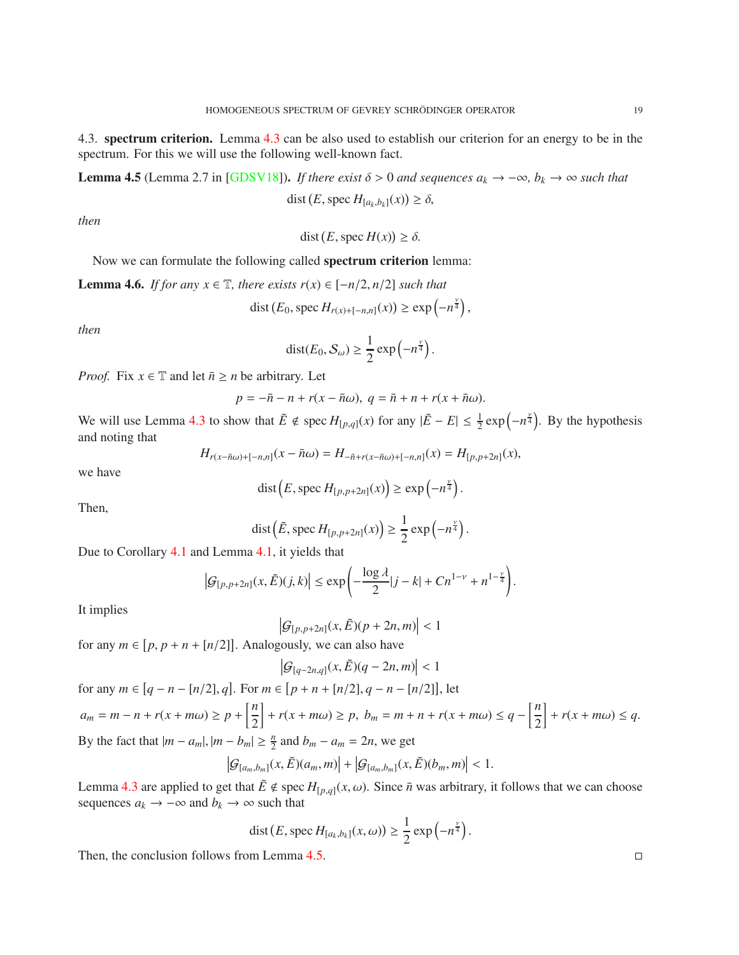[4.3](#page-16-0). spectrum criterion. Lemma 4.3 can be also used to establish our criterion for an energy to be in the spectrum. For this we will use the following well-known fact.

<span id="page-18-0"></span>Lemma 4.5 (Lemma 2.7 in [\[GDSV18\]](#page-24-3)). *If there exist*  $\delta$  > 0 *and sequences*  $a_k$  → −∞*, b<sub>k</sub>* → ∞ *such that* dist  $(E, \text{spec } H_{[a_k, b_k]}(x)) \ge \delta,$ 

*then*

$$
dist(E, \text{spec } H(x)) \ge \delta.
$$

Now we can formulate the following called spectrum criterion lemma:

<span id="page-18-1"></span>**Lemma 4.6.** *If for any*  $x \in \mathbb{T}$ *, there exists*  $r(x) \in [-n/2, n/2]$  *such that* 

$$
dist(E_0, \text{spec } H_{r(x)+[-n,n]}(x)) \ge \exp\left(-n^{\frac{\gamma}{4}}\right),\,
$$

*then*

$$
dist(E_0, S_{\omega}) \ge \frac{1}{2} \exp\left(-n^{\frac{\nu}{4}}\right).
$$

*Proof.* Fix  $x \in \mathbb{T}$  and let  $\bar{n} \geq n$  be arbitrary. Let

$$
p = -\bar{n} - n + r(x - \bar{n}\omega), \ q = \bar{n} + n + r(x + \bar{n}\omega).
$$

We will use Lemma [4.3](#page-16-0) to show that  $\tilde{E} \notin \text{spec } H_{[p,q]}(x)$  for any  $|\tilde{E} - E| \leq \frac{1}{2} \exp(-n^{\frac{y}{4}})$ . By the hypothesis and noting that

$$
H_{r(x-\bar{n}\omega)+[-n,n]}(x-\bar{n}\omega) = H_{-\bar{n}+r(x-\bar{n}\omega)+[-n,n]}(x) = H_{[p,p+2n]}(x),
$$

we have

$$
dist(E, \text{spec } H_{[p,p+2n]}(x)) \ge \exp\left(-n^{\frac{\gamma}{4}}\right).
$$

Then,

$$
\operatorname{dist}\left(\tilde{E}, \operatorname{spec} H_{[p,p+2n]}(x)\right) \geq \frac{1}{2} \exp\left(-n^{\frac{\nu}{4}}\right).
$$

Due to Corollary [4.1](#page-16-2) and Lemma [4.1,](#page-15-0) it yields that

$$
\left|\mathcal{G}_{[p,p+2n]}(x,\tilde{E})(j,k)\right| \leq \exp\left(-\frac{\log\lambda}{2}|j-k|+Cn^{1-\nu}+n^{1-\frac{\nu}{4}}\right).
$$

It implies

 $|\mathcal{G}_{[p,p+2n]}(x,\tilde{E})(p+2n,m)| < 1$ 

for any  $m \in [p, p + n + [n/2]]$ . Analogously, we can also have

$$
\left|\mathcal{G}_{[q-2n,q]}(x,\tilde{E})(q-2n,m)\right|<1
$$

for any  $m \in [q - n - [n/2], q]$ . For  $m \in [p + n + [n/2], q - n - [n/2]$ , let  $a_m = m - n + r(x + m\omega) \ge p + \left[\frac{n}{2}\right]$ 2  $+ r(x + m\omega) \ge p, b_m = m + n + r(x + m\omega) \le q - \left[\frac{n}{2}\right]$ 2  $\left| + r(x + m\omega) \leq q. \right.$ By the fact that  $|m - a_m|, |m - b_m| \ge \frac{n}{2}$  and  $b_m - a_m = 2n$ , we get

$$
\left|\mathcal{G}_{[a_m,b_m]}(x,\tilde{E})(a_m,m)\right|+\left|\mathcal{G}_{[a_m,b_m]}(x,\tilde{E})(b_m,m)\right|<1.
$$

Lemma [4.3](#page-16-0) are applied to get that  $\tilde{E} \notin \text{spec } H_{[p,q]}(x,\omega)$ . Since  $\bar{n}$  was arbitrary, it follows that we can choose sequences  $a_k$  → −∞ and  $b_k$  → ∞ such that

dist 
$$
(E, \text{spec } H_{[a_k, b_k]}(x, \omega)) \ge \frac{1}{2} \exp(-n^{\frac{\nu}{4}}).
$$

Then, the conclusion follows from Lemma  $4.5$ .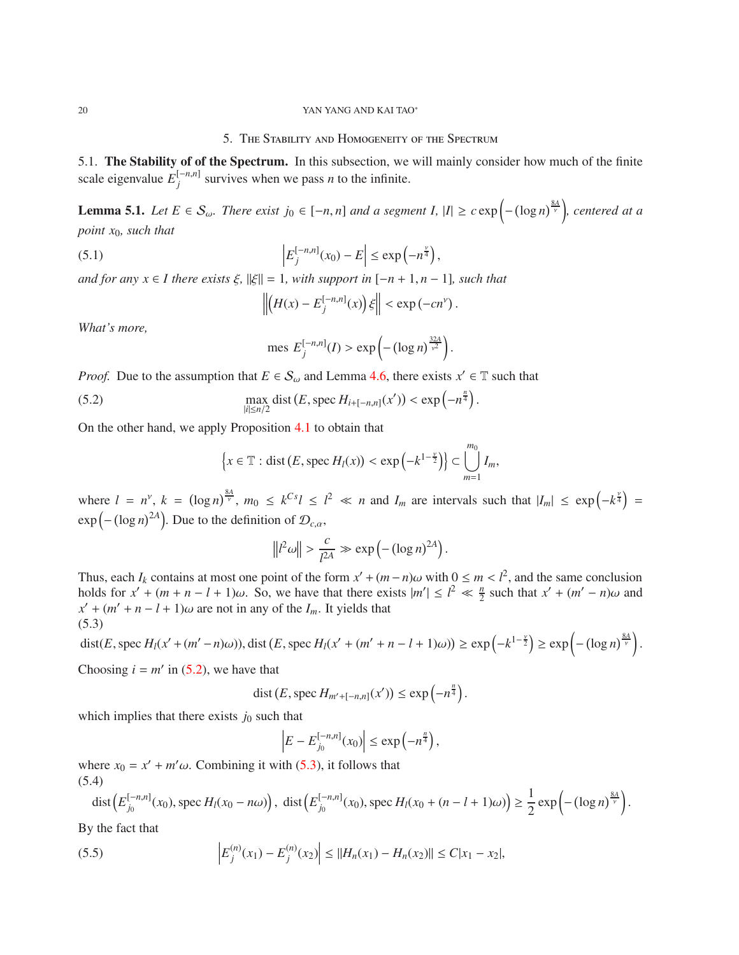#### 20 YAN YANG AND KAI TAO∗

## 5. The Stability and Homogeneity of the Spectrum

5.1. The Stability of of the Spectrum. In this subsection, we will mainly consider how much of the finite scale eigenvalue  $E_j^{[-n,n]}$  survives when we pass *n* to the infinite.

<span id="page-19-3"></span>**Lemma 5.1.** *Let*  $E \in S_\omega$ . *There exist*  $j_0 \in [-n, n]$  *and a segment I,*  $|I| \geq c \exp\left(-\left(\log n\right)^{\frac{8A}{\gamma}}\right)$ , *centered at a point x*0*, such that*

(5.1) 
$$
\left|E_j^{[-n,n]}(x_0) - E\right| \le \exp\left(-n^{\frac{\gamma}{4}}\right),
$$

 $\int$  *and for any x* ∈ *I* there exists  $\xi$ ,  $\|\xi\| = 1$ , with support in  $[-n + 1, n - 1]$ , such that

$$
\left\| \left( H(x) - E_j^{[-n,n]}(x) \right) \xi \right\| < \exp(-cn^{\nu}).
$$

*What's more,*

mes 
$$
E_j^{[-n,n]}(I) > \exp\left(-(\log n)^{\frac{32A}{\nu^2}}\right)
$$
.

*Proof.* Due to the assumption that  $E \in S_\omega$  and Lemma [4.6,](#page-18-1) there exists  $x' \in \mathbb{T}$  such that

(5.2) 
$$
\max_{|i| \le n/2} \text{dist}(E, \text{spec } H_{i+[-n,n]}(x')) < \text{exp}\left(-n^{\frac{n}{4}}\right).
$$

On the other hand, we apply Proposition [4.1](#page-17-1) to obtain that

<span id="page-19-0"></span>
$$
\left\{x \in \mathbb{T}: \text{dist}(E, \text{spec } H_l(x)) < \exp\left(-k^{1-\frac{\nu}{2}}\right)\right\} \subset \bigcup_{m=1}^{m_0} I_m,
$$

where  $l = n^{\gamma}$ ,  $k = (\log n)^{\frac{8A}{\gamma}}$ ,  $m_0 \le k^{Cs}l \le l^2 \ll n$  and  $I_m$  are intervals such that  $|I_m| \le \exp(-k^{\frac{\gamma}{4}})$  $\exp\left(-\left(\log n\right)^{2A}\right)$ . Due to the definition of  $\mathcal{D}_{c,\alpha}$ ,

$$
\left\|l^2\omega\right\| > \frac{c}{l^{2A}} \gg \exp\left(-\left(\log n\right)^{2A}\right).
$$

Thus, each  $I_k$  contains at most one point of the form  $x' + (m - n)\omega$  with  $0 \le m < l^2$ , and the same conclusion holds for  $x' + (m + n - l + 1)\omega$ . So, we have that there exists  $|m'| \le l^2 \ll \frac{n}{2}$  such that  $x' + (m' - n)\omega$  and  $x' + (m' + n - l + 1)\omega$  are not in any of the *I<sub>m</sub>*. It yields that (5.3)

<span id="page-19-1"></span>
$$
\text{dist}(E, \text{spec } H_l(x' + (m' - n)\omega)), \text{dist }(E, \text{spec } H_l(x' + (m' + n - l + 1)\omega)) \ge \exp\left(-k^{1-\frac{\nu}{2}}\right) \ge \exp\left(-(\log n)^{\frac{8A}{\nu}}\right).
$$

Choosing  $i = m'$  in [\(5.2\)](#page-19-0), we have that

$$
\operatorname{dist}(E, \operatorname{spec} H_{m'+[-n,n]}(x')) \le \exp\left(-n^{\frac{n}{4}}\right).
$$

which implies that there exists  $j_0$  such that

$$
\left|E - E_{j_0}^{[-n,n]}(x_0)\right| \leq \exp\left(-n^{\frac{n}{4}}\right),\,
$$

where  $x_0 = x' + m'\omega$ . Combining it with [\(5.3\)](#page-19-1), it follows that (5.4)

<span id="page-19-2"></span>dist 
$$
(E_{j_0}^{[-n,n]}(x_0), \text{spec } H_l(x_0 - n\omega))
$$
, dist  $(E_{j_0}^{[-n,n]}(x_0), \text{spec } H_l(x_0 + (n-l+1)\omega)) \ge \frac{1}{2} \exp\left(-(\log n)^{\frac{8A}{\nu}}\right)$ .

By the fact that

(5.5) 
$$
\left| E_j^{(n)}(x_1) - E_j^{(n)}(x_2) \right| \le ||H_n(x_1) - H_n(x_2)|| \le C|x_1 - x_2|,
$$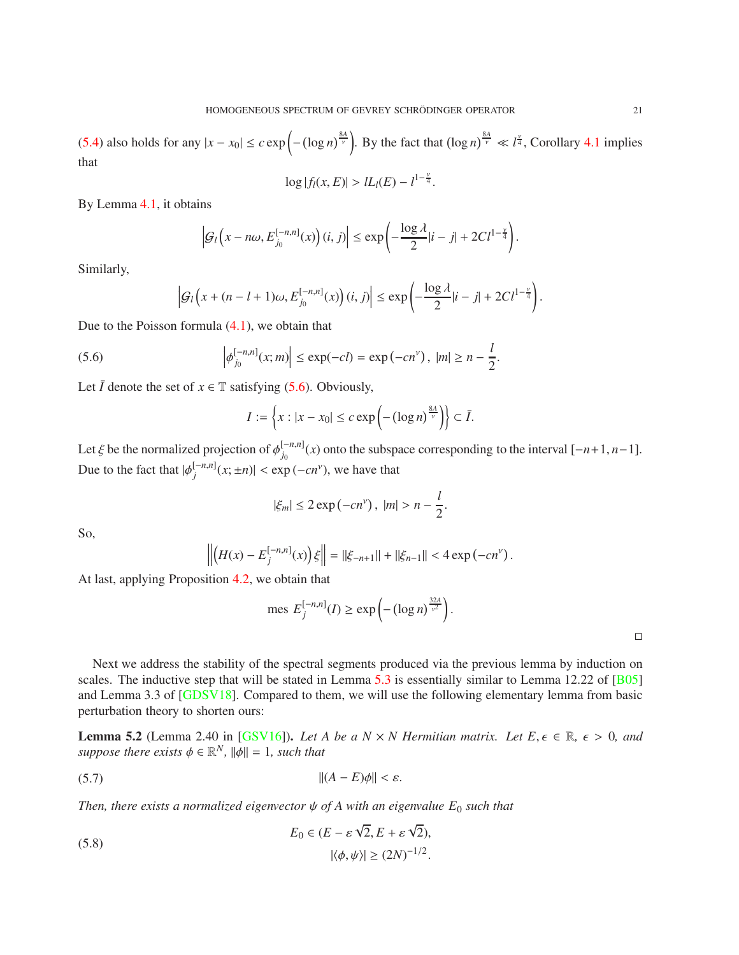[\(5.4\)](#page-19-2) also holds for any  $|x - x_0| \le c \exp\left(-\left(\log n\right)^{\frac{8A}{\gamma}}\right)$ . By the fact that  $(\log n)^{\frac{8A}{\gamma}} \ll l^{\frac{\gamma}{4}}$ , Corollary [4.1](#page-16-2) implies that

$$
\log |f_l(x, E)| > lL_l(E) - l^{1-\frac{\nu}{4}}.
$$

By Lemma [4.1,](#page-15-0) it obtains

$$
\left|\mathcal{G}_l\left(x-n\omega,E_{j_0}^{[-n,n]}(x)\right)(i,j)\right|\leq \exp\left(-\frac{\log\lambda}{2}|i-j|+2Cl^{1-\frac{\nu}{4}}\right).
$$

Similarly,

$$
\left|\mathcal{G}_l\left(x+(n-l+1)\omega,E_{j_0}^{[-n,n]}(x)\right)(i,j)\right| \leq \exp\left(-\frac{\log\lambda}{2}|i-j|+2Cl^{1-\frac{\nu}{4}}\right).
$$

Due to the Poisson formula [\(4.1\)](#page-14-1), we obtain that

(5.6) 
$$
\left|\phi_{j_0}^{[-n,n]}(x;m)\right| \le \exp(-cl) = \exp(-cn^{\nu}), \ |m| \ge n - \frac{l}{2}.
$$

Let  $\overline{I}$  denote the set of  $x \in \mathbb{T}$  satisfying [\(5.6\)](#page-20-0). Obviously,

<span id="page-20-0"></span>
$$
I := \left\{ x : |x - x_0| \le c \exp\left(-\left(\log n\right)^{\frac{8A}{\nu}}\right) \right\} \subset \overline{I}.
$$

Let  $\xi$  be the normalized projection of  $\phi_{j_0}^{[-n,n]}(x)$  onto the subspace corresponding to the interval  $[-n+1, n-1]$ . Due to the fact that  $|\phi_j^{[-n,n]}(x;\pm n)| < \exp(-cn^{\nu})$ , we have that

$$
|\xi_m| \le 2 \exp\left(-cn^\nu\right), \ |m| > n - \frac{l}{2}
$$

So,

$$
\left\| \left( H(x) - E_j^{[-n,n]}(x) \right) \xi \right\| = \| \xi_{-n+1} \| + \| \xi_{n-1} \| < 4 \exp(-cn^{\nu}).
$$

At last, applying Proposition [4.2,](#page-17-2) we obtain that

$$
\text{mes } E_j^{[-n,n]}(I) \ge \exp\left(-\left(\log n\right)^{\frac{32A}{\gamma^2}}\right).
$$

.

Next we address the stability of the spectral segments produced via the previous lemma by induction on scales. The inductive step that will be stated in Lemma  $5.3$  is essentially similar to Lemma 12.22 of [ $\overline{B05}$ ] and Lemma 3.3 of [\[GDSV18\]](#page-24-3). Compared to them, we will use the following elementary lemma from basic perturbation theory to shorten ours:

<span id="page-20-1"></span>**Lemma 5.2** (Lemma 2.40 in [\[GSV16\]](#page-24-14)). *Let A be a N × N Hermitian matrix. Let E*,  $\epsilon \in \mathbb{R}$ ,  $\epsilon > 0$ , and *suppose there exists*  $\phi \in \mathbb{R}^N$ *,*  $\|\phi\| = 1$ *, such that* 

$$
||(A - E)\phi|| < \varepsilon.
$$

*Then, there exists a normalized eigenvector*  $\psi$  *of A with an eigenvalue*  $E_0$  *such that* 

(5.8) 
$$
E_0 \in (E - \varepsilon \sqrt{2}, E + \varepsilon \sqrt{2}),
$$

$$
|\langle \phi, \psi \rangle| \ge (2N)^{-1/2}.
$$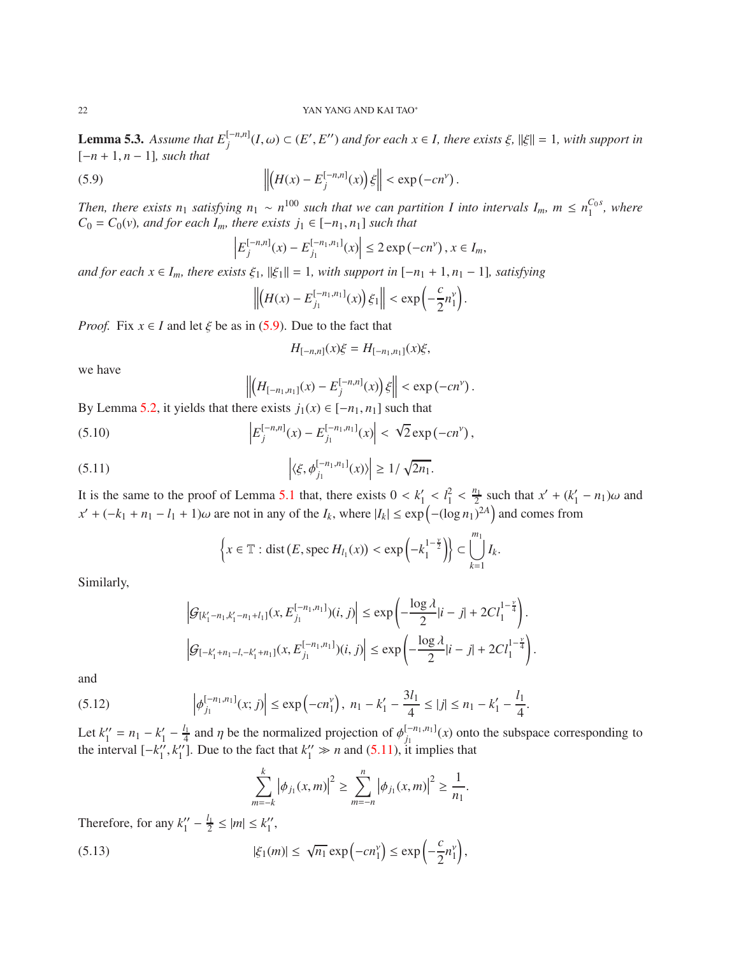<span id="page-21-0"></span>**Lemma 5.3.** Assume that  $E_j^{[-n,n]}(I,\omega) \subset (E',E'')$  and for each  $x \in I$ , there exists  $\xi$ ,  $||\xi|| = 1$ , with support in [−*<sup>n</sup>* <sup>+</sup> <sup>1</sup>, *<sup>n</sup>* <sup>−</sup> 1]*, such that*

(5.9) 
$$
\left\| \left( H(x) - E_j^{[-n,n]}(x) \right) \xi \right\| < \exp(-cn^{\nu}).
$$

*Then, there exists n*<sub>1</sub> *satisfying n*<sub>1</sub> ∼ *n*<sup>100</sup> *such that we can partition I into intervals I<sub><i>m*</sub>, *m* ≤ *n*<sub>1</sub><sup>C<sub>0</sub> *s*</sup>  $\frac{c_0 s}{1}$ , where  $C_0 = C_0(v)$ *, and for each*  $I_m$ *, there exists*  $j_1 \in [-n_1, n_1]$  *such that* 

<span id="page-21-1"></span>
$$
\left| E_j^{[-n,n]}(x) - E_{j_1}^{[-n_1,n_1]}(x) \right| \leq 2 \exp(-cn^{\nu}), x \in I_m,
$$

 $and for each x \in I_m, there exists \xi_1, \|\xi_1\| = 1, with support in [-n_1 + 1, n_1 - 1], satisfying$ 

$$
\left\|\left(H(x)-E_{j_1}^{[-n_1,n_1]}(x)\right)\xi_1\right\|<\exp\left(-\frac{c}{2}n_1^{\gamma}\right).
$$

*Proof.* Fix  $x \in I$  and let  $\xi$  be as in [\(5.9\)](#page-21-1). Due to the fact that

$$
H_{[-n,n]}(x)\xi = H_{[-n_1,n_1]}(x)\xi,
$$

we have

<span id="page-21-3"></span><span id="page-21-2"></span>
$$
\left\| \left( H_{[-n_1,n_1]}(x) - E_j^{[-n,n]}(x) \right) \xi \right\| < \exp(-cn^{\nu}).
$$

By Lemma [5.2,](#page-20-1) it yields that there exists  $j_1(x) \in [-n_1, n_1]$  such that

(5.10) 
$$
\left| E_j^{[-n,n]}(x) - E_{j_1}^{[-n,n_1]}(x) \right| < \sqrt{2} \exp(-cn^{\nu}),
$$

(5.11) 
$$
\left| \langle \xi, \phi_{j_1}^{[-n_1, n_1]}(x) \rangle \right| \geq 1/\sqrt{2n_1}.
$$

It is the same to the proof of Lemma [5.1](#page-19-3) that, there exists  $0 < k'_1 < l_1^2 < \frac{n_1}{2}$  such that  $x' + (k'_1 - n_1)\omega$  and  $x' + (-k_1 + n_1 - l_1 + 1)\omega$  are not in any of the *I<sub>k</sub>*, where  $|I_k| \le \exp(-(\log n_1)^{2A})$  and comes from

$$
\left\{x \in \mathbb{T}: \text{dist}(E, \text{spec } H_{l_1}(x)) < \exp\left(-k_1^{1-\frac{\nu}{2}}\right)\right\} \subset \bigcup_{k=1}^{m_1} I_k.
$$

Similarly,

$$
\left| \mathcal{G}_{[k_1'-n_1,k_1'-n_1+l_1]}(x, E_{j_1}^{[-n_1,n_1]})(i,j) \right| \le \exp\left(-\frac{\log \lambda}{2}|i-j| + 2Cl_1^{\frac{1-\frac{\nu}{4}}{4}}\right).
$$
  

$$
\left| \mathcal{G}_{[-k_1'+n_1-l,-k_1'+n_1]}(x, E_{j_1}^{[-n_1,n_1]})(i,j) \right| \le \exp\left(-\frac{\log \lambda}{2}|i-j| + 2Cl_1^{\frac{1-\frac{\nu}{4}}{4}}\right).
$$

and

$$
(5.12) \qquad \left| \phi_{j_1}^{[-n_1,n_1]}(x;j) \right| \le \exp\left(-cn_1^{\nu}\right), \; n_1 - k_1' - \frac{3l_1}{4} \le |j| \le n_1 - k_1' - \frac{l_1}{4}.
$$

Let  $k_1'' = n_1 - k_1' - \frac{l_1}{4}$  and  $\eta$  be the normalized projection of  $\phi_{j_1}^{[-n_1,n_1]}(x)$  onto the subspace corresponding to the interval  $[-k_1'', k_1'']$ . Due to the fact that  $k_1'' \gg n$  and [\(5.11\)](#page-21-2), it implies that

$$
\sum_{m=-k}^{k} |\phi_{j_1}(x,m)|^2 \geq \sum_{m=-n}^{n} |\phi_{j_1}(x,m)|^2 \geq \frac{1}{n_1}.
$$

Therefore, for any  $k_1'' - \frac{l_1}{2} \le |m| \le k_1''$ ,

(5.13) 
$$
|\xi_1(m)| \leq \sqrt{n_1} \exp\left(-cn_1^{\gamma}\right) \leq \exp\left(-\frac{c}{2}n_1^{\gamma}\right),
$$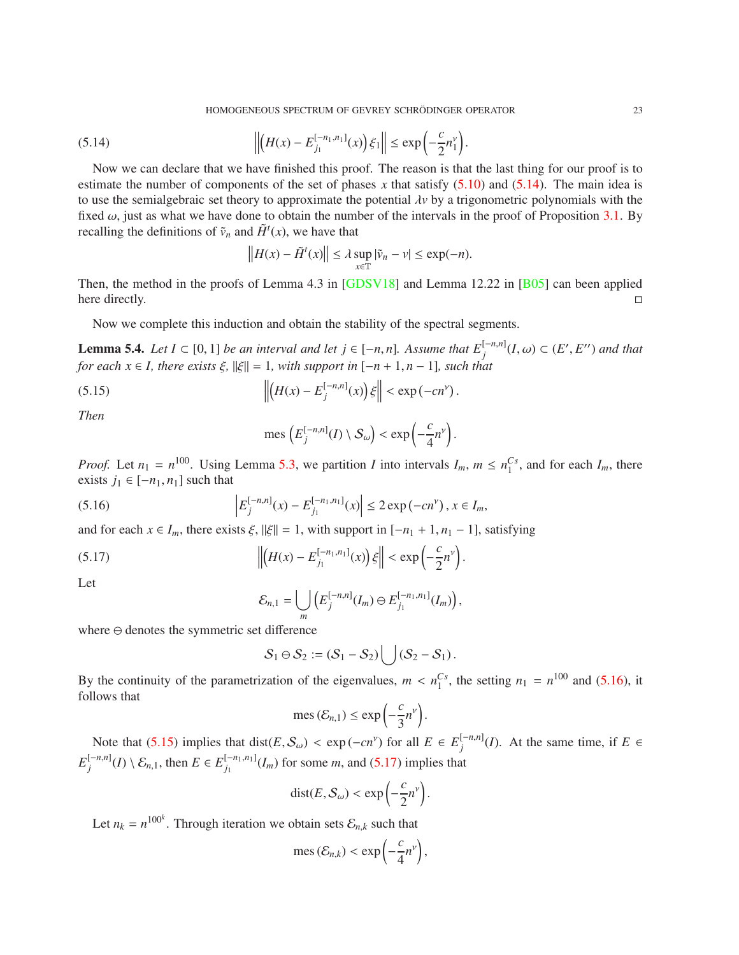<span id="page-22-0"></span>HOMOGENEOUS SPECTRUM OF GEVREY SCHRÖDINGER OPERATOR <sup>23</sup>

(5.14) 
$$
\left\| \left( H(x) - E_{j_1}^{[-n_1,n_1]}(x) \right) \xi_1 \right\| \le \exp \left( -\frac{c}{2} n_1^{\gamma} \right).
$$

Now we can declare that we have finished this proof. The reason is that the last thing for our proof is to estimate the number of components of the set of phases x that satisfy  $(5.10)$  and  $(5.14)$ . The main idea is to use the semialgebraic set theory to approximate the potential  $\lambda v$  by a trigonometric polynomials with the fixed  $\omega$ , just as what we have done to obtain the number of the intervals in the proof of Proposition [3.1.](#page-7-2) By recalling the definitions of  $\tilde{v}_n$  and  $\tilde{H}^t(x)$ , we have that

$$
\left\|H(x) - \tilde{H}^t(x)\right\| \le \lambda \sup_{x \in \mathbb{T}} |\tilde{v}_n - v| \le \exp(-n).
$$

Then, the method in the proofs of Lemma 4.3 in [\[GDSV18\]](#page-24-3) and Lemma 12.22 in [\[B05\]](#page-23-5) can been applied here directly.

Now we complete this induction and obtain the stability of the spectral segments.

<span id="page-22-4"></span>**Lemma 5.4.** *Let I* ⊂ [0, 1] *be an interval and let j* ∈ [−*n*, *n*]. Assume that  $E_j^{[-n,n]}(I, ω)$  ⊂ (*E'*, *E''*) and that *for each x* ∈ *I, there exists*  $\xi$ ,  $\|\xi\| = 1$ *, with support in*  $[-n + 1, n - 1]$ *, such that* 

(5.15) 
$$
\left\| \left( H(x) - E_j^{[-n,n]}(x) \right) \xi \right\| < \exp(-cn^{\nu}).
$$

*Then*

<span id="page-22-2"></span><span id="page-22-1"></span>mes 
$$
(E_j^{[-n,n]}(I) \setminus S_\omega) < \exp\left(-\frac{c}{4}n^{\nu}\right)
$$
.

*Proof.* Let  $n_1 = n^{100}$ . Using Lemma [5.3,](#page-21-0) we partition *I* into intervals  $I_m$ ,  $m \le n_1^{Cs}$ , and for each  $I_m$ , there exists  $j_1$  ∈  $[-n_1, n_1]$  such that

(5.16) 
$$
\left| E_j^{[-n,n]}(x) - E_{j_1}^{[-n,n_1]}(x) \right| \leq 2 \exp(-cn^{\nu}), x \in I_m,
$$

and for each  $x \in I_m$ , there exists  $\xi$ ,  $\|\xi\| = 1$ , with support in  $[-n_1 + 1, n_1 - 1]$ , satisfying

(5.17) 
$$
\left\| \left( H(x) - E_{j_1}^{[-n_1,n_1]}(x) \right) \xi \right\| < \exp \left( -\frac{c}{2} n^{\nu} \right).
$$

Let

<span id="page-22-3"></span>
$$
\mathcal{E}_{n,1} = \bigcup_{m} \left( E_j^{[-n,n]}(I_m) \ominus E_{j_1}^{[-n_1,n_1]}(I_m) \right),
$$

where <sup>⊖</sup> denotes the symmetric set difference

$$
S_1 \ominus S_2 := (S_1 - S_2) \bigcup (S_2 - S_1).
$$

By the continuity of the parametrization of the eigenvalues,  $m < n_1^{Cs}$ , the setting  $n_1 = n^{100}$  and [\(5.16\)](#page-22-1), it follows that

$$
\operatorname{mes}(\mathcal{E}_{n,1}) \le \exp\left(-\frac{c}{3}n^{\nu}\right).
$$

Note that [\(5.15\)](#page-22-2) implies that  $dist(E, S_{\omega}) < exp(-cn^{\gamma})$  for all  $E \in E_j^{[-n,n]}(I)$ . At the same time, if  $E \in$  $E_j^{[-n,n]}(I) \setminus \mathcal{E}_{n,1}$ , then  $E \in E_{j_1}^{[-n_1,n_1]}(I_m)$  for some *m*, and [\(5.17\)](#page-22-3) implies that

$$
\text{dist}(E, S_{\omega}) < \exp\left(-\frac{c}{2}n^{\nu}\right).
$$

Let  $n_k = n^{100^k}$ . Through iteration we obtain sets  $\mathcal{E}_{n,k}$  such that

$$
\text{mes}(\mathcal{E}_{n,k}) < \exp\left(-\frac{c}{4}n^{\nu}\right),
$$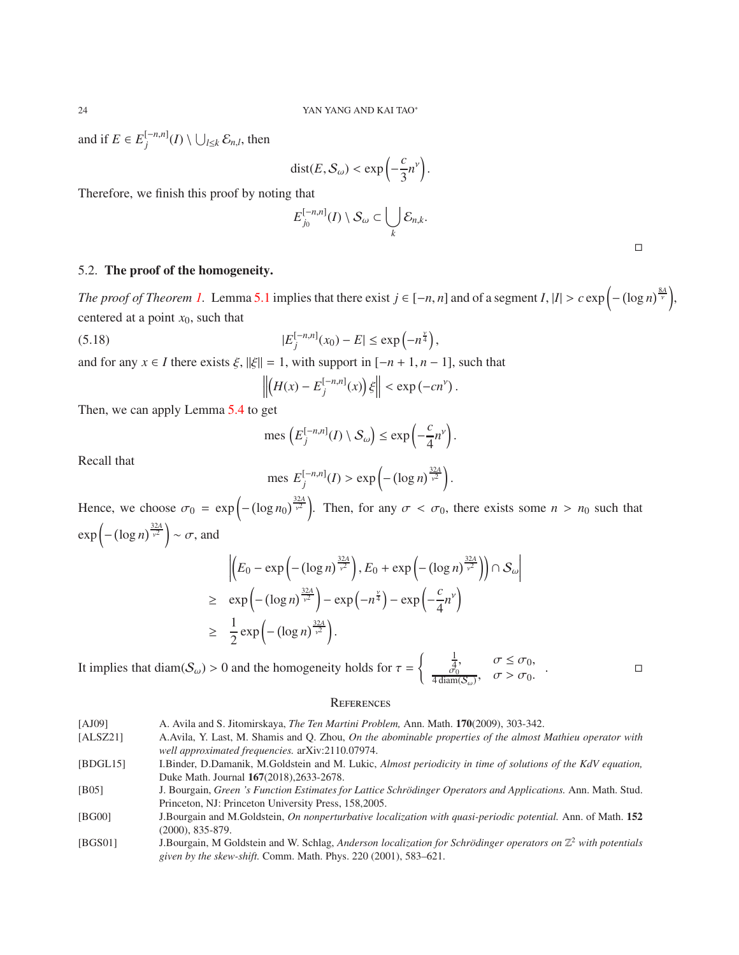and if  $E \in E_j^{[-n,n]}(I) \setminus \bigcup_{l \leq k} \mathcal{E}_{n,l}$ , then

$$
dist(E, S_{\omega}) < \exp\left(-\frac{c}{3}n^{\nu}\right).
$$

Therefore, we finish this proof by noting that

$$
E_{j_0}^{[-n,n]}(I) \setminus S_\omega \subset \bigcup_k \mathcal{E}_{n,k}.
$$

| ____ |
|------|
|      |
|      |
|      |
|      |

# 5.2. The proof of the homogeneity.

*The proof of Theorem [1.](#page-2-2)* Lemma [5.1](#page-19-3) implies that there exist  $j \in [-n, n]$  and of a segment  $I, |I| > c \exp\left(-\left(\log n\right)^{\frac{8A}{\nu}}\right)$ , centered at a point  $x_0$ , such that

(5.18) 
$$
|E_j^{[-n,n]}(x_0) - E| \le \exp\left(-n^{\frac{\gamma}{4}}\right),
$$

and for any  $x \in I$  there exists  $\xi$ ,  $\|\xi\| = 1$ , with support in  $[-n + 1, n - 1]$ , such that

$$
\left\| \left( H(x) - E_j^{[-n,n]}(x) \right) \xi \right\| < \exp(-cn^{\nu}).
$$

Then, we can apply Lemma [5.4](#page-22-4) to get

mes 
$$
(E_j^{[-n,n]}(I) \setminus S_\omega) \le \exp\left(-\frac{c}{4}n^{\nu}\right).
$$

Recall that

mes 
$$
E_j^{[-n,n]}(I) > \exp\left(-(\log n)^{\frac{32A}{\nu^2}}\right).
$$

Hence, we choose  $\sigma_0 = \exp\left(-\left(\log n_0\right)^{\frac{32A}{\nu^2}}\right)$ . Then, for any  $\sigma < \sigma_0$ , there exists some  $n > n_0$  such that  $\exp\left(-\left(\log n\right)^{\frac{32A}{\nu^2}}\right) \sim \sigma$ , and

$$
\left| \left( E_0 - \exp\left( - (\log n)^{\frac{32A}{\gamma^2}} \right), E_0 + \exp\left( - (\log n)^{\frac{32A}{\gamma^2}} \right) \right) \cap \mathcal{S}_{\omega} \right|
$$
\n
$$
\geq \exp\left( - (\log n)^{\frac{32A}{\gamma^2}} \right) - \exp\left( -n^{\frac{\gamma}{4}} \right) - \exp\left( -\frac{c}{4} n^{\gamma} \right)
$$
\n
$$
\geq \frac{1}{2} \exp\left( - (\log n)^{\frac{32A}{\gamma^2}} \right).
$$

It implies that diam( $S_{\omega}$ ) > 0 and the homogeneity holds for  $\tau = \begin{cases} \frac{1}{4}, & \sigma \leq \sigma_0, \\ \frac{1}{4} \sqrt{\sigma_0} & \sigma > \sigma_0. \end{cases}$  $\frac{\sigma_0}{4 \operatorname{diam}(\mathcal{S}_{\omega})}, \quad \sigma > \sigma_0.$ . — Первый проста проста проста проста проста проста проста проста проста проста проста проста проста проста п<br>Село в село в село в село в село в село в село в село в село в село в село в село в село в село в село в село

### **REFERENCES**

<span id="page-23-5"></span><span id="page-23-4"></span><span id="page-23-3"></span><span id="page-23-2"></span><span id="page-23-1"></span><span id="page-23-0"></span>

| [AJ09]   | A. Avila and S. Jitomirskaya, <i>The Ten Martini Problem</i> , Ann. Math. 170(2009), 303-342.                            |
|----------|--------------------------------------------------------------------------------------------------------------------------|
| [ALSZ21] | A.Avila, Y. Last, M. Shamis and Q. Zhou, On the abominable properties of the almost Mathieu operator with                |
|          | well approximated frequencies. arXiv:2110.07974.                                                                         |
| [BDGL15] | I.Binder, D.Damanik, M.Goldstein and M. Lukic, Almost periodicity in time of solutions of the KdV equation,              |
|          | Duke Math. Journal 167(2018), 2633-2678.                                                                                 |
| [B05]    | J. Bourgain, Green 's Function Estimates for Lattice Schrödinger Operators and Applications. Ann. Math. Stud.            |
|          | Princeton, NJ: Princeton University Press, 158,2005.                                                                     |
| [BG00]   | J.Bourgain and M.Goldstein, On nonperturbative localization with quasi-periodic potential. Ann. of Math. 152             |
|          | $(2000), 835-879.$                                                                                                       |
| [BGS01]  | J.Bourgain, M Goldstein and W. Schlag, Anderson localization for Schrödinger operators on $\mathbb{Z}^2$ with potentials |
|          | given by the skew-shift. Comm. Math. Phys. $220(2001)$ , $583-621$ .                                                     |